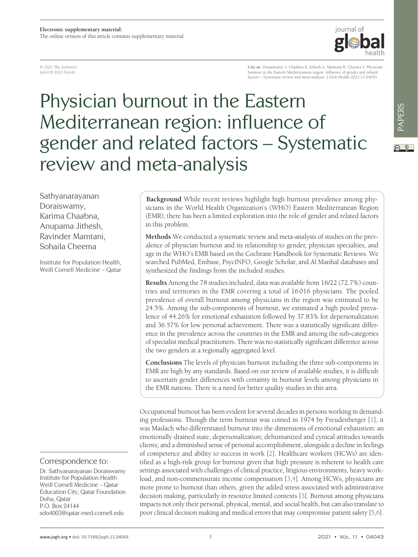© 2021 The Author(s) JoGH © 2021 ISoGH

**Cite as:** Doraiswamy S, Chaabna K, Jithesh A, Mamtani R, Cheema S. Physician burnout in the Eastern Mediterranean region: influence of gender and related factors – Systematic review and meta-analysis. J Glob Health 2021;11:04043.

iournal of

# Physician burnout in the Eastern Mediterranean region: influence of gender and related factors – Systematic review and meta-analysis

Sathyanarayanan Doraiswamy, Karima Chaabna, Anupama Jithesh, Ravinder Mamtani, Sohaila Cheema

Institute for Population Health, Weill Cornell Medicine – Qatar

# Correspondence to:

Dr. Sathyanarayanan Doraiswamy Institute for Population Health Weill Cornell Medicine – Qatar Education City, Qatar Foundation Doha, Qatar P.O. Box 24144 sdo4003@qatar-med.cornell.edu

**Background** While recent reviews highlight high burnout prevalence among physicians in the World Health Organization's (WHO) Eastern Mediterranean Region (EMR), there has been a limited exploration into the role of gender and related factors in this problem.

**Methods** We conducted a systematic review and meta-analysis of studies on the prevalence of physician burnout and its relationship to gender, physician specialties, and age in the WHO's EMR based on the Cochrane Handbook for Systematic Reviews. We searched PubMed, Embase, PsycINFO, Google Scholar, and Al Manhal databases and synthesized the findings from the included studies.

**Results** Among the 78 studies included, data was available from 16/22 (72.7%) countries and territories in the EMR covering a total of 16016 physicians. The pooled prevalence of overall burnout among physicians in the region was estimated to be 24.5%. Among the sub-components of burnout, we estimated a high pooled prevalence of 44.26% for emotional exhaustion followed by 37.83% for depersonalization and 36.57% for low personal achievement. There was a statistically significant difference in the prevalence across the countries in the EMR and among the sub-categories of specialist medical practitioners. There was no statistically significant difference across the two genders at a regionally aggregated level.

**Conclusions** The levels of physician burnout including the three sub-components in EMR are high by any standards. Based on our review of available studies, it is difficult to ascertain gender differences with certainty in burnout levels among physicians in the EMR nations. There is a need for better quality studies in this area.

Occupational burnout has been evident for several decades in persons working in demanding professions. Though the term burnout was coined in 1974 by Freudenberger [[1\]](#page-12-0), it was Maslach who differentiated burnout into the dimensions of emotional exhaustion: an emotionally drained state, depersonalization; dehumanized and cynical attitudes towards clients; and a diminished sense of personal accomplishment, alongside a decline in feelings of competence and ability to success in work [\[2](#page-12-1)]. Healthcare workers (HCWs) are identified as a high-risk group for burnout given that high pressure is inherent to health care settings associated with challenges of clinical practice, litigious environments, heavy workload, and non-commensurate income compensation [[3](#page-12-2)[,4](#page-12-3)]. Among HCWs, physicians are more prone to burnout than others, given the added stress associated with administrative decision making, particularly in resource limited contexts [\[3](#page-12-2)]. Burnout among physicians impacts not only their personal, physical, mental, and social health, but can also translate to poor clinical decision making and medical errors that may compromise patient safety [\[5](#page-12-4)[,6](#page-12-5)].

 $\circledcirc$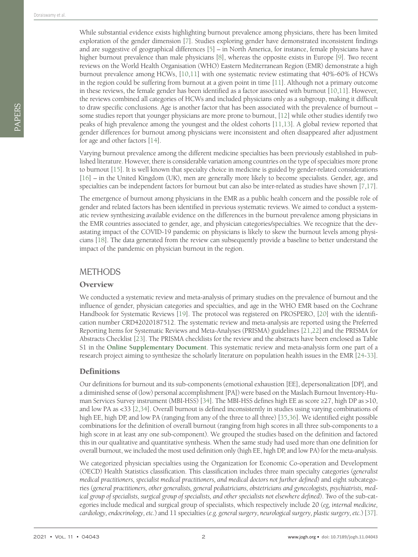While substantial evidence exists highlighting burnout prevalence among physicians, there has been limited exploration of the gender dimension [\[7](#page-12-6)]. Studies exploring gender have demonstrated inconsistent findings and are suggestive of geographical differences [\[5](#page-12-4)] – in North America, for instance, female physicians have a higher burnout prevalence than male physicians [\[8](#page-12-7)], whereas the opposite exists in Europe [[9\]](#page-12-8). Two recent reviews on the World Health Organisation (WHO) Eastern Mediterranean Region (EMR) demonstrate a high burnout prevalence among HCWs, [\[10,](#page-12-9)[11](#page-12-10)] with one systematic review estimating that 40%-60% of HCWs in the region could be suffering from burnout at a given point in time [\[11](#page-12-10)]. Although not a primary outcome in these reviews, the female gender has been identified as a factor associated with burnout [\[10](#page-12-9)[,11](#page-12-10)]. However, the reviews combined all categories of HCWs and included physicians only as a subgroup, making it difficult to draw specific conclusions. Age is another factor that has been associated with the prevalence of burnout – some studies report that younger physicians are more prone to burnout, [[12\]](#page-12-11) while other studies identify two peaks of high prevalence among the youngest and the oldest cohorts [\[11,](#page-12-10)[13](#page-12-12)]. A global review reported that gender differences for burnout among physicians were inconsistent and often disappeared after adjustment for age and other factors [\[14](#page-12-13)].

Varying burnout prevalence among the different medicine specialties has been previously established in published literature. However, there is considerable variation among countries on the type of specialties more prone to burnout [\[15](#page-12-14)]. It is well known that specialty choice in medicine is guided by gender-related considerations [[16\]](#page-12-15) – in the United Kingdom (UK), men are generally more likely to become specialists. Gender, age, and specialties can be independent factors for burnout but can also be inter-related as studies have shown [[7](#page-12-6)[,17\]](#page-12-16).

The emergence of burnout among physicians in the EMR as a public health concern and the possible role of gender and related factors has been identified in previous systematic reviews. We aimed to conduct a systematic review synthesizing available evidence on the differences in the burnout prevalence among physicians in the EMR countries associated to gender, age, and physician categories/specialties. We recognize that the devastating impact of the COVID-19 pandemic on physicians is likely to skew the burnout levels among physicians [\[18](#page-12-17)]. The data generated from the review can subsequently provide a baseline to better understand the impact of the pandemic on physician burnout in the region.

# METHODS

#### **Overview**

We conducted a systematic review and meta-analysis of primary studies on the prevalence of burnout and the influence of gender, physician categories and specialties, and age in the WHO EMR based on the Cochrane Handbook for Systematic Reviews [[19\]](#page-12-18). The protocol was registered on PROSPERO, [\[20](#page-12-19)] with the identification number CRD42020187512. The systematic review and meta-analysis are reported using the Preferred Reporting Items for Systematic Reviews and Meta-Analyses (PRISMA) guidelines [\[21](#page-12-20),[22](#page-12-21)] and the PRISMA for Abstracts Checklist [[23\]](#page-12-22). The PRISMA checklists for the review and the abstracts have been enclosed as Table S1 in the **[Online Supplementary Document](#page-12-23)**. This systematic review and meta-analysis form one part of a research project aiming to synthesize the scholarly literature on population health issues in the EMR [\[24](#page-13-0)-[33\]](#page-13-1).

# **Definitions**

Our definitions for burnout and its sub-components (emotional exhaustion [EE], depersonalization [DP], and a diminished sense of (low) personal accomplishment [PA]) were based on the Maslach Burnout Inventory-Human Services Survey instrument (MBI-HSS) [[34\]](#page-13-2). The MBI-HSS defines high EE as score ≥27, high DP as >10, and low PA as <33 [\[2](#page-12-1),[34\]](#page-13-2). Overall burnout is defined inconsistently in studies using varying combinations of high EE, high DP, and low PA (ranging from any of the three to all three) [\[35,](#page-13-3)[36](#page-13-4)]. We identified eight possible combinations for the definition of overall burnout (ranging from high scores in all three sub-components to a high score in at least any one sub-component). We grouped the studies based on the definition and factored this in our qualitative and quantitative synthesis. When the same study had used more than one definition for overall burnout, we included the most used definition only (high EE, high DP, and low PA) for the meta-analysis.

We categorized physician specialties using the Organization for Economic Co-operation and Development (OECD) Health Statistics classification. This classification includes three main specialty categories (*generalist medical practitioners, specialist medical practitioners, and medical doctors not further defined*) and eight subcategories (*general practitioners, other generalists, general pediatricians, obstetricians and gynecologists, psychiatrists, medical group of specialists, surgical group of specialists, and other specialists not elsewhere defined*). Two of the sub-categories include medical and surgical group of specialists, which respectively include 20 (*eg, internal medicine, cardiology, endocrinology, etc.*) and 11 specialties (*e.g. general surgery, neurological surgery, plastic surgery, etc.*) [[37\]](#page-13-5).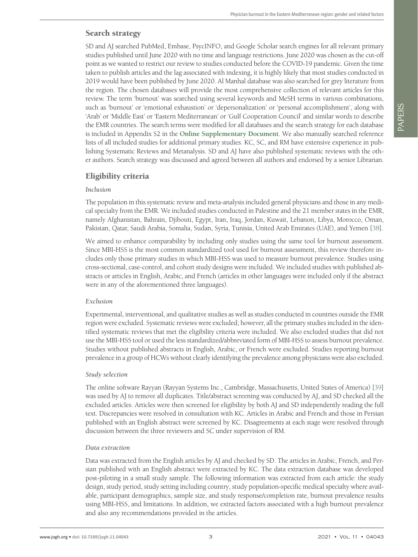# Search strategy

SD and AJ searched PubMed, Embase, PsycINFO, and Google Scholar search engines for all relevant primary studies published until June 2020 with no time and language restrictions. June 2020 was chosen as the cut-off point as we wanted to restrict our review to studies conducted before the COVID-19 pandemic. Given the time taken to publish articles and the lag associated with indexing, it is highly likely that most studies conducted in 2019 would have been published by June 2020. Al Manhal database was also searched for grey literature from the region. The chosen databases will provide the most comprehensive collection of relevant articles for this review. The term 'burnout' was searched using several keywords and MeSH terms in various combinations, such as 'burnout' or 'emotional exhaustion' or 'depersonalization' or 'personal accomplishment', along with 'Arab' or 'Middle East' or 'Eastern Mediterranean' or 'Gulf Cooperation Council' and similar words to describe the EMR countries. The search terms were modified for all databases and the search strategy for each database is included in Appendix S2 in the **[Online Supplementary Document](#page-12-23)**. We also manually searched reference lists of all included studies for additional primary studies. KC, SC, and RM have extensive experience in publishing Systematic Reviews and Metanalysis. SD and AJ have also published systematic reviews with the other authors. Search strategy was discussed and agreed between all authors and endorsed by a senior Librarian.

# Eligibility criteria

#### *Inclusion*

The population in this systematic review and meta-analysis included general physicians and those in any medical specialty from the EMR. We included studies conducted in Palestine and the 21 member states in the EMR, namely Afghanistan, Bahrain, Djibouti, Egypt, Iran, Iraq, Jordan, Kuwait, Lebanon, Libya, Morocco, Oman, Pakistan, Qatar, Saudi Arabia, Somalia, Sudan, Syria, Tunisia, United Arab Emirates (UAE), and Yemen [\[38\]](#page-13-6).

We aimed to enhance comparability by including only studies using the same tool for burnout assessment. Since MBI-HSS is the most common standardized tool used for burnout assessment, this review therefore includes only those primary studies in which MBI-HSS was used to measure burnout prevalence. Studies using cross-sectional, case-control, and cohort study designs were included. We included studies with published abstracts or articles in English, Arabic, and French (articles in other languages were included only if the abstract were in any of the aforementioned three languages).

#### *Exclusion*

Experimental, interventional, and qualitative studies as well as studies conducted in countries outside the EMR region were excluded. Systematic reviews were excluded; however, all the primary studies included in the identified systematic reviews that met the eligibility criteria were included. We also excluded studies that did not use the MBI-HSS tool or used the less standardized/abbreviated form of MBI-HSS to assess burnout prevalence. Studies without published abstracts in English, Arabic, or French were excluded. Studies reporting burnout prevalence in a group of HCWs without clearly identifying the prevalence among physicians were also excluded.

#### *Study selection*

The online software Rayyan (Rayyan Systems Inc., Cambridge, Massachusetts, United States of America) [[39\]](#page-13-7) was used by AJ to remove all duplicates. Title/abstract screening was conducted by AJ, and SD checked all the excluded articles. Articles were then screened for eligibility by both AJ and SD independently reading the full text. Discrepancies were resolved in consultation with KC. Articles in Arabic and French and those in Persian published with an English abstract were screened by KC. Disagreements at each stage were resolved through discussion between the three reviewers and SC under supervision of RM.

#### *Data extraction*

Data was extracted from the English articles by AJ and checked by SD. The articles in Arabic, French, and Persian published with an English abstract were extracted by KC. The data extraction database was developed post-piloting in a small study sample. The following information was extracted from each article: the study design, study period, study setting including country, study population-specific medical specialty where available, participant demographics, sample size, and study response/completion rate, burnout prevalence results using MBI-HSS, and limitations. In addition, we extracted factors associated with a high burnout prevalence and also any recommendations provided in the articles.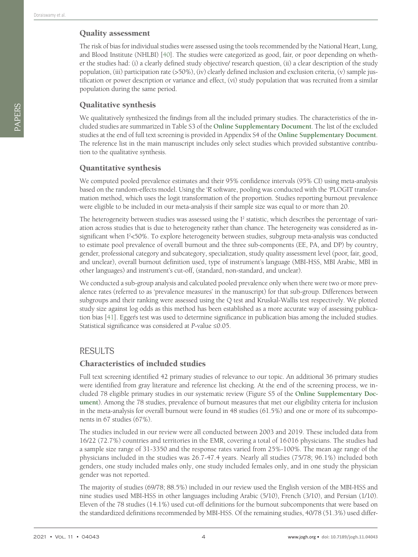### Quality assessment

The risk of bias for individual studies were assessed using the tools recommended by the National Heart, Lung, and Blood Institute (NHLBI) [\[40](#page-13-8)]. The studies were categorized as good, fair, or poor depending on whether the studies had: (i) a clearly defined study objective/ research question, (ii) a clear description of the study population, (iii) participation rate (>50%), (iv) clearly defined inclusion and exclusion criteria, (v) sample justification or power description or variance and effect, (vi) study population that was recruited from a similar population during the same period.

# Qualitative synthesis

We qualitatively synthesized the findings from all the included primary studies. The characteristics of the included studies are summarized in Table S3 of the **[Online Supplementary Document](#page-12-23)**. The list of the excluded studies at the end of full text screening is provided in Appendix S4 of the **[Online Supplementary Document](#page-12-23)**. The reference list in the main manuscript includes only select studies which provided substantive contribution to the qualitative synthesis.

# Quantitative synthesis

We computed pooled prevalence estimates and their 95% confidence intervals (95% CI) using meta-analysis based on the random-effects model. Using the 'R' software, pooling was conducted with the 'PLOGIT' transformation method, which uses the logit transformation of the proportion. Studies reporting burnout prevalence were eligible to be included in our meta-analysis if their sample size was equal to or more than 20.

The heterogeneity between studies was assessed using the  $I<sup>2</sup>$  statistic, which describes the percentage of variation across studies that is due to heterogeneity rather than chance. The heterogeneity was considered as insignificant when I<sup>2</sup><50%. To explore heterogeneity between studies, subgroup meta-analysis was conducted to estimate pool prevalence of overall burnout and the three sub-components (EE, PA, and DP) by country, gender, professional category and subcategory, specialization, study quality assessment level (poor, fair, good, and unclear), overall burnout definition used, type of instrument's language (MBI-HSS, MBI Arabic, MBI in other languages) and instrument's cut-off, (standard, non-standard, and unclear).

We conducted a sub-group analysis and calculated pooled prevalence only when there were two or more prevalence rates (referred to as 'prevalence measures' in the manuscript) for that sub-group. Differences between subgroups and their ranking were assessed using the Q test and Kruskal-Wallis test respectively. We plotted study size against log odds as this method has been established as a more accurate way of assessing publication bias [\[41\]](#page-13-9). Egger's test was used to determine significance in publication bias among the included studies. Statistical significance was considered at *P*-value ≤0.05.

# **RESULTS**

# Characteristics of included studies

Full text screening identified 42 primary studies of relevance to our topic. An additional 36 primary studies were identified from gray literature and reference list checking. At the end of the screening process, we included 78 eligible primary studies in our systematic review (Figure S5 of the **[Online Supplementary Doc](#page-12-23)[ument](#page-12-23)**). Among the 78 studies, prevalence of burnout measures that met our eligibility criteria for inclusion in the meta-analysis for overall burnout were found in 48 studies (61.5%) and one or more of its subcomponents in 67 studies (67%).

The studies included in our review were all conducted between 2003 and 2019. These included data from 16/22 (72.7%) countries and territories in the EMR, covering a total of 16016 physicians. The studies had a sample size range of 31-3350 and the response rates varied from 25%-100%. The mean age range of the physicians included in the studies was 26.7-47.4 years. Nearly all studies (75/78; 96.1%) included both genders, one study included males only, one study included females only, and in one study the physician gender was not reported.

The majority of studies (69/78; 88.5%) included in our review used the English version of the MBI-HSS and nine studies used MBI-HSS in other languages including Arabic (5/10), French (3/10), and Persian (1/10). Eleven of the 78 studies (14.1%) used cut-off definitions for the burnout subcomponents that were based on the standardized definitions recommended by MBI-HSS. Of the remaining studies, 40/78 (51.3%) used differ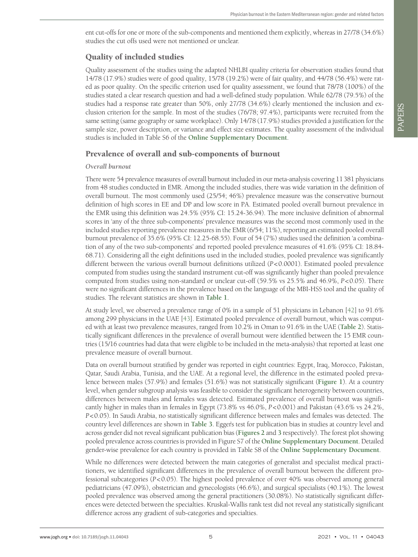ent cut-offs for one or more of the sub-components and mentioned them explicitly, whereas in 27/78 (34.6%) studies the cut offs used were not mentioned or unclear.

# Quality of included studies

Quality assessment of the studies using the adapted NHLBI quality criteria for observation studies found that 14/78 (17.9%) studies were of good quality, 15/78 (19.2%) were of fair quality, and 44/78 (56.4%) were rated as poor quality. On the specific criterion used for quality assessment, we found that 78/78 (100%) of the studies stated a clear research question and had a well-defined study population. While 62/78 (79.5%) of the studies had a response rate greater than 50%, only 27/78 (34.6%) clearly mentioned the inclusion and exclusion criterion for the sample. In most of the studies (76/78; 97.4%), participants were recruited from the same setting (same geography or same workplace). Only 14/78 (17.9%) studies provided a justification for the sample size, power description, or variance and effect size estimates. The quality assessment of the individual studies is included in Table S6 of the **[Online Supplementary Document](#page-12-23)**.

#### Prevalence of overall and sub-components of burnout

#### *Overall burnout*

There were 54 prevalence measures of overall burnout included in our meta-analysis covering 11381 physicians from 48 studies conducted in EMR. Among the included studies, there was wide variation in the definition of overall burnout. The most commonly used (25/54; 46%) prevalence measure was the conservative burnout definition of high scores in EE and DP and low score in PA. Estimated pooled overall burnout prevalence in the EMR using this definition was 24.5% (95% CI: 15.24-36.94). The more inclusive definition of abnormal scores in 'any of the three sub-components' prevalence measures was the second most commonly used in the included studies reporting prevalence measures in the EMR (6/54; 11%), reporting an estimated pooled overall burnout prevalence of 35.6% (95% CI: 12.25-68.55). Four of 54 (7%) studies used the definition 'a combination of any of the two sub-components' and reported pooled prevalence measures of 41.6% (95% CI: 18.84- 68.71). Considering all the eight definitions used in the included studies, pooled prevalence was significantly different between the various overall burnout definitions utilized (*P*<0.0001). Estimated pooled prevalence computed from studies using the standard instrument cut-off was significantly higher than pooled prevalence computed from studies using non-standard or unclear cut-off (59.5% vs 25.5% and 46.9%, *P*<0.05). There were no significant differences in the prevalence based on the language of the MBI-HSS tool and the quality of studies. The relevant statistics are shown in **[Table 1](#page-5-0)**.

At study level, we observed a prevalence range of 0% in a sample of 51 physicians in Lebanon [\[42](#page-13-10)] to 91.6% among 299 physicians in the UAE [\[43](#page-13-11)]. Estimated pooled prevalence of overall burnout, which was computed with at least two prevalence measures, ranged from 10.2% in Oman to 91.6% in the UAE (**[Table 2](#page-5-1)**). Statistically significant differences in the prevalence of overall burnout were identified between the 15 EMR countries (15/16 countries had data that were eligible to be included in the meta-analysis) that reported at least one prevalence measure of overall burnout.

Data on overall burnout stratified by gender was reported in eight countries: Egypt, Iraq, Morocco, Pakistan, Qatar, Saudi Arabia, Tunisia, and the UAE. At a regional level, the difference in the estimated pooled prevalence between males (57.9%) and females (51.6%) was not statistically significant (**[Figure 1](#page-6-0)**). At a country level, when gender subgroup analysis was feasible to consider the significant heterogeneity between countries, differences between males and females was detected. Estimated prevalence of overall burnout was significantly higher in males than in females in Egypt (73.8% vs 46.0%, *P*<0.001) and Pakistan (43.6% vs 24.2%, *P*<0.05). In Saudi Arabia, no statistically significant difference between males and females was detected. The country level differences are shown in **[Table 3](#page-7-0)**. Egger's test for publication bias in studies at country level and across gender did not reveal significant publication bias (**[Figures 2](#page-7-1)** and **[3](#page-7-2)** respectively). The forest plot showing pooled prevalence across countries is provided in Figure S7 of the **[Online Supplementary Document](#page-12-23)**. Detailed gender-wise prevalence for each country is provided in Table S8 of the **[Online Supplementary Document](#page-12-23)**.

While no differences were detected between the main categories of generalist and specialist medical practitioners, we identified significant differences in the prevalence of overall burnout between the different professional subcategories (*P*<0.05). The highest pooled prevalence of over 40% was observed among general pediatricians (47.09%), obstetrician and gynecologists (46.6%), and surgical specialists (40.1%). The lowest pooled prevalence was observed among the general practitioners (30.08%). No statistically significant differences were detected between the specialties. Kruskal-Wallis rank test did not reveal any statistically significant difference across any gradient of sub-categories and specialties.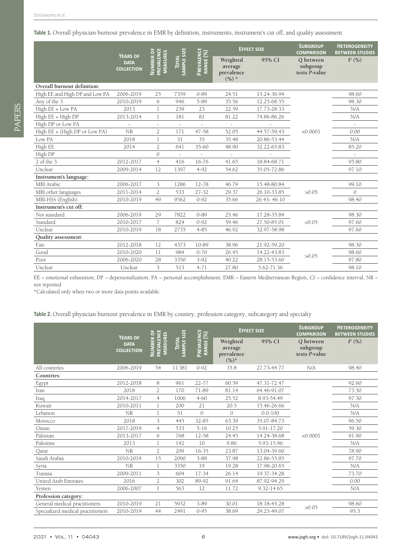<span id="page-5-0"></span>Table 1. Overall physician burnout prevalence in EMR by definition, instruments, instrument's cut off, and quality assessment

|                                | <b>YEARS OF</b>                  | b                                              |                          |                         | <b>EFFECT SIZE</b>                           |             | <b>SUBGROUP</b><br><b>COMPARISON</b>   | <b>HETEROGENEITY</b><br><b>BETWEEN STUDIES</b> |
|--------------------------------|----------------------------------|------------------------------------------------|--------------------------|-------------------------|----------------------------------------------|-------------|----------------------------------------|------------------------------------------------|
|                                | <b>DATA</b><br><b>COLLECTION</b> | PREVALENCE<br><b>MEASURES</b><br><b>NUMBER</b> | TOTAL<br>SAMPLE SIZE     | PREVALENCE<br>RANGE (%) | Weighted<br>average<br>prevalence<br>$(%)^*$ | 95% CI      | O between<br>subgroup<br>tests P-value | $I^2$ (%)                                      |
| Overall burnout definition:    |                                  |                                                |                          |                         |                                              |             |                                        |                                                |
| High EE and High DP and Low PA | 2006-2019                        | 25                                             | 7359                     | $0 - 89$                | 24.51                                        | 15.24-36.94 |                                        | 98.60                                          |
| Any of the 3                   | 2010-2019                        | 6                                              | 946                      | 5-89                    | 35.56                                        | 12.25-68.55 |                                        | 98.30                                          |
| High EE + Low PA               | 2013                             | 1                                              | 239                      | 23                      | 22.59                                        | 17.73-28.33 |                                        | N/A                                            |
| High EE + High DP              | 2013-2014                        | $\mathbf{1}$                                   | 181                      | 81                      | 81.22                                        | 74.86-86.26 |                                        | N/A                                            |
| High DP or Low PA              | ÷,                               | $\overline{\phantom{a}}$                       | $\overline{\phantom{a}}$ | $\sim$                  | $\sim$                                       |             |                                        | $\overline{\phantom{a}}$                       |
| High EE + (High DP or Low PA)  | <b>NR</b>                        | $\overline{2}$                                 | 171                      | 47-58                   | 52.05                                        | 44.57-59.43 | < 0.0001                               | 0.00                                           |
| Low PA                         | 2018                             | 1                                              | 31                       | 35                      | 35.48                                        | 20.86-53.44 |                                        | N/A                                            |
| High EE                        | 2014                             | $\overline{2}$                                 | 641                      | 35-60                   | 48.90                                        | 32.22-65.83 |                                        | 85.20                                          |
| High DP                        |                                  | $\mathcal{O}$                                  |                          |                         |                                              |             |                                        |                                                |
| 2 of the 3                     | 2012-2017                        | $\overline{4}$                                 | 416                      | 16-76                   | 41.65                                        | 18.84-68.71 |                                        | 95.80                                          |
| Unclear                        | 2009-2014                        | 12                                             | 1397                     | $4 - 92$                | 54.62                                        | 35.05-72.86 |                                        | 97.10                                          |
| Instrument's language:         |                                  |                                                |                          |                         |                                              |             |                                        |                                                |
| MBI Arabic                     | 2006-2017                        | 3                                              | 1286                     | 12-78                   | 46.79                                        | 15.48-80.84 |                                        | 99.10                                          |
| MBI other languages            | 2011-2014                        | $\overline{2}$                                 | 533                      | 27-32                   | 29.37                                        | 26.10-33.85 | >0.05                                  | $\Omega$                                       |
| MBI-HSS (English)              | 2010-2019                        | 49                                             | 9562                     | $0 - 92$                | 35.66                                        | 26.43-46.10 |                                        | 98.40                                          |
| Instrument's cut off:          |                                  |                                                |                          |                         |                                              |             |                                        |                                                |
| Not standard                   | 2006-2019                        | 29                                             | 7822                     | $0 - 89$                | 25.46                                        | 17.28-35.84 |                                        | 98.30                                          |
| Standard                       | 2010-2017                        | $\overline{7}$                                 | 824                      | $0 - 92$                | 59.46                                        | 27.50-85.01 | < 0.05                                 | 97.60                                          |
| Unclear                        | 2010-2019                        | 18                                             | 2735                     | $4 - 85$                | 46.92                                        | 32.97-58.98 |                                        | 97.60                                          |
| Quality assessment:            |                                  |                                                |                          |                         |                                              |             |                                        |                                                |
| Fair                           | 2012-2018                        | 12                                             | 4373                     | 10-89                   | 38.96                                        | 21.92-59.20 |                                        | 98.30                                          |
| Good                           | 2010-2020                        | 11                                             | 984                      | $0 - 70$                | 26.45                                        | 14.22-43.83 | >0.05                                  | 98.60                                          |
| Poor                           | 2006-2020                        | 28                                             | 3350                     | $3 - 92$                | 40.22                                        | 28.15-53.60 |                                        | 97.80                                          |
| Unclear                        | Unclear                          | 3                                              | 513                      | $4 - 71$                | 27.80                                        | 5.62-71.36  |                                        | 98.10                                          |

EE – emotional exhaustion; DP – depersonalization; PA – personal accomplishment; EMR – Eastern Mediterranean Region, CI – confidence interval, NR – not reported

\*Calculated only when two or more data points available.

#### <span id="page-5-1"></span>**Table 2.** Overall physician burnout prevalence in EMR by country, profession category, subcategory and specialty

|                                   | <b>YEARS OF</b>                  | ៉                                              |                      |                         |                                              | <b>EFFECT SIZE</b> | <b>SUBGROUP</b><br><b>COMPARISON</b>   | <b>HETEROGENEITY</b><br><b>BETWEEN STUDIES</b> |
|-----------------------------------|----------------------------------|------------------------------------------------|----------------------|-------------------------|----------------------------------------------|--------------------|----------------------------------------|------------------------------------------------|
|                                   | <b>DATA</b><br><b>COLLECTION</b> | PREVALENCE<br><b>MEASURES</b><br><b>NUMBER</b> | TOTAL<br>SAMPLE SIZE | PREVALENCE<br>RANGE (%) | Weighted<br>average<br>prevalence<br>$(%)^*$ | 95% CI             | O between<br>subgroup<br>tests P-value | $I^2$ (%)                                      |
| All countries                     | 2006-2019                        | 54                                             | 11381                | $0 - 92$                | 35.8                                         | 27.73-44.77        | N/A                                    | 98.40                                          |
| Countries:                        |                                  |                                                |                      |                         |                                              |                    |                                        |                                                |
| Egypt                             | 2012-2018                        | 8                                              | 961                  | $22 - 77$               | 60.59                                        | 47.31-72.47        |                                        | 92.60                                          |
| Iran                              | 2018                             | $\overline{2}$                                 | 170                  | 71-89                   | 81.14                                        | 64.46-91.07        |                                        | 73.50                                          |
| Iraq                              | 2014-2017                        | $\overline{4}$                                 | 1006                 | $4 - 60$                | 25.52                                        | 8.93-54.49         |                                        | 97.30                                          |
| Kuwait                            | 2010-2011                        | 1                                              | 200                  | 21                      | 20.5                                         | 15.46-26.66        |                                        | N/A                                            |
| Lebanon                           | <b>NR</b>                        |                                                | 51                   | $\Omega$                | $\theta$                                     | $0.0 - 100$        |                                        | N/A                                            |
| Morocco                           | 2018                             | 3                                              | 445                  | 32-85                   | 63.39                                        | 35.07-84.73        |                                        | 96.50                                          |
| Oman                              | 2017-2019                        | $\overline{4}$                                 | 533                  | $5 - 16$                | 10.25                                        | 5.91-17.20         |                                        | 59.30                                          |
| Pakistan                          | 2013-2017                        | 6                                              | 768                  | 12-58                   | 24.45                                        | 14.24-38.68        | < 0.0001                               | 91.90                                          |
| Palestine                         | 2013                             | 1                                              | 142                  | 10                      | 9.86                                         | 5.93-15.96         |                                        | N/A                                            |
| Qatar                             | <b>NR</b>                        | $\overline{2}$                                 | 209                  | 16-35                   | 23.87                                        | 13.04-39.60        |                                        | 78.90                                          |
| Saudi Arabia                      | 2010-2019                        | 15                                             | 2090                 | $3 - 89$                | 37.98                                        | 22.86-55.85        |                                        | 97.70                                          |
| Syria                             | <b>NR</b>                        |                                                | 3350                 | 19                      | 19.28                                        | 17.98-20.65        |                                        | N/A                                            |
| Tunisia                           | 2009-2011                        | 3                                              | 604                  | 17-34                   | 26.14                                        | 19.37-34.28        |                                        | 73.70                                          |
| United Arab Emirates              | 2016                             | $\overline{2}$                                 | 302                  | 89-92                   | 91.64                                        | 87.92-94.29        |                                        | 0.00                                           |
| Yemen                             | 2006-2007                        |                                                | 563                  | 12                      | 11.72                                        | $9.32 - 14.65$     |                                        | N/A                                            |
| Profession category:              |                                  |                                                |                      |                         |                                              |                    |                                        |                                                |
| General medical practitioners     | 2010-2019                        | 21                                             | 5932                 | $3 - 89$                | 30.01                                        | 18.18-45.28        | >0.05                                  | 98.60                                          |
| Specialized medical practitioners | 2010-2019                        | 44                                             | 2491                 | $0 - 95$                | 38.69                                        | 29.25-49.07        |                                        | 95.3                                           |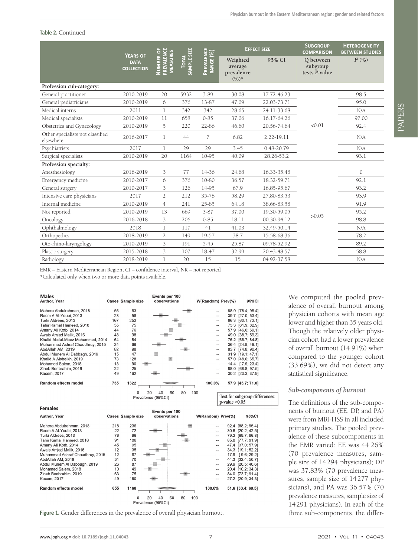#### **Table 2.** Continued

|                                               |                                                     |                                            |                             |                         |                                              | <b>EFFECT SIZE</b> | <b>SUBGROUP</b><br><b>COMPARISON</b>   | <b>HETEROGENEITY</b><br><b>BETWEEN STUDIES</b> |
|-----------------------------------------------|-----------------------------------------------------|--------------------------------------------|-----------------------------|-------------------------|----------------------------------------------|--------------------|----------------------------------------|------------------------------------------------|
|                                               | <b>YEARS OF</b><br><b>DATA</b><br><b>COLLECTION</b> | <b>PREVALENCE</b><br>MEASURES<br>NUMBER OI | SAMPLE SIZE<br><b>TOTAL</b> | PREVALENCE<br>RANGE (%) | Weighted<br>average<br>prevalence<br>$(%)^*$ | 95% CI             | O between<br>subgroup<br>tests P-value | $I^2$ (%)                                      |
| Profession cub-category:                      |                                                     |                                            |                             |                         |                                              |                    |                                        |                                                |
| General practitioner                          | 2010-2019                                           | 20                                         | 5932                        | 3-89                    | 30.08                                        | 17.72-46.23        |                                        | 98.5                                           |
| General pediatricians                         | 2010-2019                                           | 6                                          | 376                         | 13-87                   | 47.09                                        | 22.03-73.71        |                                        | 95.0                                           |
| Medical interns                               | 2011                                                | $\mathbb{L}$                               | 342                         | 342                     | 28.65                                        | 24.11-33.68        |                                        | N/A                                            |
| Medical specialists                           | 2010-2019                                           | 11                                         | 658                         | $0 - 85$                | 37.06                                        | 16.17-64.26        | < 0.01                                 | 97.00                                          |
| Obstetrics and Gynecology                     | 2010-2019                                           | 5                                          | 220                         | 22-86                   | 46.60                                        | 20.56-74.64        |                                        | 92.4                                           |
| Other specialists not classified<br>elsewhere | 2016-2017                                           | 1                                          | 44                          | $\overline{7}$          | 6.82                                         | 2.22-19.11         |                                        | N/A                                            |
| Psychiatrists                                 | 2017                                                | 1                                          | 29                          | 29                      | 3.45                                         | 0.48-20.79         |                                        | N/A                                            |
| Surgical specialists                          | 2010-2019                                           | 20                                         | 1164                        | 10-95                   | 40.09                                        | 28.26-53.2         |                                        | 93.1                                           |
| Profession specialty:                         |                                                     |                                            |                             |                         |                                              |                    |                                        |                                                |
| Anesthesiology                                | 2016-2019                                           | 3                                          | 77                          | 14-36                   | 24.68                                        | 16.33-35.48        |                                        | $\mathcal{O}$                                  |
| Emergency medicine                            | 2010-2017                                           | 6                                          | 376                         | 10-80                   | 36.57                                        | 18.32-59.71        |                                        | 92.1                                           |
| General surgery                               | 2010-2017                                           | 3                                          | 126                         | 14-95                   | 67.9                                         | 16.85-95.67        |                                        | 93.2                                           |
| Intensive care physicians                     | 2017                                                | $\overline{2}$                             | 212                         | 35-78                   | 58.29                                        | 27.80-83.53        | >0.05                                  | 93.9                                           |
| Internal medicine                             | 2010-2019                                           | $\overline{4}$                             | 241                         | 25-85                   | 64.18                                        | 38.66-83.58        |                                        | 91.9                                           |
| Not reported                                  | 2010-2019                                           | 13                                         | 669                         | $3 - 87$                | 37.00                                        | 19.30-59.05        |                                        | 95.2                                           |
| Oncology                                      | 2016-2018                                           | 3                                          | 206                         | $0 - 85$                | 18.11                                        | 00.30-94.12        |                                        | 98.8                                           |
| Ophthalmology                                 | 2018                                                | 1                                          | 117                         | 41                      | 41.03                                        | 32.49-50.14        |                                        | N/A                                            |
| Orthopedics                                   | 2018-2019                                           | $\overline{2}$                             | 149                         | 19-57                   | 38.7                                         | 15.58-68.36        |                                        | 78.2                                           |
| Oto-rhino-laryngology                         | 2010-2019                                           | 3                                          | 191                         | $5 - 45$                | 25.87                                        | 09.78-52.92        |                                        | 89.2                                           |
| Plastic surgery                               | 2015-2018                                           | $\overline{3}$                             | 107                         | 18-47                   | 32.99                                        | 20.43-48.57        |                                        | 58.8                                           |
| Radiology                                     | 2018-2019                                           | $\mathbb{I}$                               | 20                          | 15                      | 15                                           | 04.92-37.58        |                                        | N/A                                            |

EMR – Eastern Mediterranean Region, CI – confidence interval, NR – not reported

\*Calculated only when two or more data points available.

<span id="page-6-0"></span>

| Author, Year<br>observations<br><b>Cases Sample size</b><br>W(Random) Prev(%)<br>95%CI<br>56<br>63<br>Mahera Abdulrahman, 2018<br>88.9 [78.4; 95.4]<br>23<br>58<br>Reem A.Al-Youbi, 2013<br>39.7 [27.0; 53.4]<br>--<br>Turki Aldrees, 2013<br>167<br>252<br>66.3 [60.1; 72.1]<br>--<br>Tahir Kamal Hameed, 2018<br>55<br>75<br>73.3 [61.9; 82.9]<br>--<br>76<br>Amany Ali Kotb, 2014<br>44<br>57.9 [46.0; 69.1]<br>--<br>Awais Amjad Malik, 2016<br>98<br>49.0 [38.7; 59.3]<br>48<br>--<br>Khalid Abdul-Moez Mohammed, 2014<br>64<br>84<br>76.2 [65.7; 84.8]<br>$\overline{\phantom{0}}$<br>Muhammad Ashraf Chaudhruy, 2015<br>24<br>66<br>36.4 [24.9; 49.1]<br>--<br>AbdAllah AM, 2019<br>98<br>82<br>83.7 [74.8; 90.4]<br>--<br>Abdul Munem Al Dabbagh, 2019<br>15<br>47<br>31.9 [19.1; 47.1]<br>$\overline{\phantom{a}}$<br>Khalid A Alsheikh, 2019<br>73<br>128<br>57.0 [48.0; 65.7]<br>--<br>13<br>90<br>Mohamed Salem, 2018<br>14.4 [7.9; 23.4]<br>--<br>25<br>22<br>88.0 [68.8; 97.5]<br>Zineb Benbrahim, 2019<br>--<br>Kacem, 2017<br>49<br>162<br>30.2 [23.3; 37.9]<br>--<br><b>Random effects model</b><br>735<br>1322<br>100.0%<br>57.9 [43.7; 71.0]<br>60<br>80<br>0<br>20<br>40<br>100<br>Test for subgroup differences:<br>Prevalence (95%CI)<br>$p$ -value $>0.05$<br><b>Females</b><br>Events per 100<br>observations<br>95%CI<br>Author, Year<br><b>Cases Sample size</b><br>W(Random) Prev(%)<br>218<br>236<br>92.4 [88.2; 95.4]<br>Mahera Abdulrahman, 2018<br>22<br>72<br>Reem A.Al-Youbi, 2013<br>30.6 [20.2; 42.5]<br>$\overline{a}$<br>96<br>Turki Aldrees, 2013<br>76<br>79.2 [69.7; 86.8]<br>$\qquad \qquad -$<br>Tahir Kamal Hameed, 2018<br>106<br>91<br>85.8 [77.7; 91.9]<br>$\hspace{0.05cm} -$ |              |  |                |  |  |
|------------------------------------------------------------------------------------------------------------------------------------------------------------------------------------------------------------------------------------------------------------------------------------------------------------------------------------------------------------------------------------------------------------------------------------------------------------------------------------------------------------------------------------------------------------------------------------------------------------------------------------------------------------------------------------------------------------------------------------------------------------------------------------------------------------------------------------------------------------------------------------------------------------------------------------------------------------------------------------------------------------------------------------------------------------------------------------------------------------------------------------------------------------------------------------------------------------------------------------------------------------------------------------------------------------------------------------------------------------------------------------------------------------------------------------------------------------------------------------------------------------------------------------------------------------------------------------------------------------------------------------------------------------------------------------------------------------------------------|--------------|--|----------------|--|--|
|                                                                                                                                                                                                                                                                                                                                                                                                                                                                                                                                                                                                                                                                                                                                                                                                                                                                                                                                                                                                                                                                                                                                                                                                                                                                                                                                                                                                                                                                                                                                                                                                                                                                                                                              | <b>Males</b> |  | Events per 100 |  |  |
|                                                                                                                                                                                                                                                                                                                                                                                                                                                                                                                                                                                                                                                                                                                                                                                                                                                                                                                                                                                                                                                                                                                                                                                                                                                                                                                                                                                                                                                                                                                                                                                                                                                                                                                              |              |  |                |  |  |
|                                                                                                                                                                                                                                                                                                                                                                                                                                                                                                                                                                                                                                                                                                                                                                                                                                                                                                                                                                                                                                                                                                                                                                                                                                                                                                                                                                                                                                                                                                                                                                                                                                                                                                                              |              |  |                |  |  |
|                                                                                                                                                                                                                                                                                                                                                                                                                                                                                                                                                                                                                                                                                                                                                                                                                                                                                                                                                                                                                                                                                                                                                                                                                                                                                                                                                                                                                                                                                                                                                                                                                                                                                                                              |              |  |                |  |  |
|                                                                                                                                                                                                                                                                                                                                                                                                                                                                                                                                                                                                                                                                                                                                                                                                                                                                                                                                                                                                                                                                                                                                                                                                                                                                                                                                                                                                                                                                                                                                                                                                                                                                                                                              |              |  |                |  |  |
|                                                                                                                                                                                                                                                                                                                                                                                                                                                                                                                                                                                                                                                                                                                                                                                                                                                                                                                                                                                                                                                                                                                                                                                                                                                                                                                                                                                                                                                                                                                                                                                                                                                                                                                              |              |  |                |  |  |
|                                                                                                                                                                                                                                                                                                                                                                                                                                                                                                                                                                                                                                                                                                                                                                                                                                                                                                                                                                                                                                                                                                                                                                                                                                                                                                                                                                                                                                                                                                                                                                                                                                                                                                                              |              |  |                |  |  |
|                                                                                                                                                                                                                                                                                                                                                                                                                                                                                                                                                                                                                                                                                                                                                                                                                                                                                                                                                                                                                                                                                                                                                                                                                                                                                                                                                                                                                                                                                                                                                                                                                                                                                                                              |              |  |                |  |  |
|                                                                                                                                                                                                                                                                                                                                                                                                                                                                                                                                                                                                                                                                                                                                                                                                                                                                                                                                                                                                                                                                                                                                                                                                                                                                                                                                                                                                                                                                                                                                                                                                                                                                                                                              |              |  |                |  |  |
|                                                                                                                                                                                                                                                                                                                                                                                                                                                                                                                                                                                                                                                                                                                                                                                                                                                                                                                                                                                                                                                                                                                                                                                                                                                                                                                                                                                                                                                                                                                                                                                                                                                                                                                              |              |  |                |  |  |
|                                                                                                                                                                                                                                                                                                                                                                                                                                                                                                                                                                                                                                                                                                                                                                                                                                                                                                                                                                                                                                                                                                                                                                                                                                                                                                                                                                                                                                                                                                                                                                                                                                                                                                                              |              |  |                |  |  |
|                                                                                                                                                                                                                                                                                                                                                                                                                                                                                                                                                                                                                                                                                                                                                                                                                                                                                                                                                                                                                                                                                                                                                                                                                                                                                                                                                                                                                                                                                                                                                                                                                                                                                                                              |              |  |                |  |  |
|                                                                                                                                                                                                                                                                                                                                                                                                                                                                                                                                                                                                                                                                                                                                                                                                                                                                                                                                                                                                                                                                                                                                                                                                                                                                                                                                                                                                                                                                                                                                                                                                                                                                                                                              |              |  |                |  |  |
|                                                                                                                                                                                                                                                                                                                                                                                                                                                                                                                                                                                                                                                                                                                                                                                                                                                                                                                                                                                                                                                                                                                                                                                                                                                                                                                                                                                                                                                                                                                                                                                                                                                                                                                              |              |  |                |  |  |
|                                                                                                                                                                                                                                                                                                                                                                                                                                                                                                                                                                                                                                                                                                                                                                                                                                                                                                                                                                                                                                                                                                                                                                                                                                                                                                                                                                                                                                                                                                                                                                                                                                                                                                                              |              |  |                |  |  |
|                                                                                                                                                                                                                                                                                                                                                                                                                                                                                                                                                                                                                                                                                                                                                                                                                                                                                                                                                                                                                                                                                                                                                                                                                                                                                                                                                                                                                                                                                                                                                                                                                                                                                                                              |              |  |                |  |  |
|                                                                                                                                                                                                                                                                                                                                                                                                                                                                                                                                                                                                                                                                                                                                                                                                                                                                                                                                                                                                                                                                                                                                                                                                                                                                                                                                                                                                                                                                                                                                                                                                                                                                                                                              |              |  |                |  |  |
|                                                                                                                                                                                                                                                                                                                                                                                                                                                                                                                                                                                                                                                                                                                                                                                                                                                                                                                                                                                                                                                                                                                                                                                                                                                                                                                                                                                                                                                                                                                                                                                                                                                                                                                              |              |  |                |  |  |
|                                                                                                                                                                                                                                                                                                                                                                                                                                                                                                                                                                                                                                                                                                                                                                                                                                                                                                                                                                                                                                                                                                                                                                                                                                                                                                                                                                                                                                                                                                                                                                                                                                                                                                                              |              |  |                |  |  |
|                                                                                                                                                                                                                                                                                                                                                                                                                                                                                                                                                                                                                                                                                                                                                                                                                                                                                                                                                                                                                                                                                                                                                                                                                                                                                                                                                                                                                                                                                                                                                                                                                                                                                                                              |              |  |                |  |  |
|                                                                                                                                                                                                                                                                                                                                                                                                                                                                                                                                                                                                                                                                                                                                                                                                                                                                                                                                                                                                                                                                                                                                                                                                                                                                                                                                                                                                                                                                                                                                                                                                                                                                                                                              |              |  |                |  |  |
|                                                                                                                                                                                                                                                                                                                                                                                                                                                                                                                                                                                                                                                                                                                                                                                                                                                                                                                                                                                                                                                                                                                                                                                                                                                                                                                                                                                                                                                                                                                                                                                                                                                                                                                              |              |  |                |  |  |
|                                                                                                                                                                                                                                                                                                                                                                                                                                                                                                                                                                                                                                                                                                                                                                                                                                                                                                                                                                                                                                                                                                                                                                                                                                                                                                                                                                                                                                                                                                                                                                                                                                                                                                                              |              |  |                |  |  |
|                                                                                                                                                                                                                                                                                                                                                                                                                                                                                                                                                                                                                                                                                                                                                                                                                                                                                                                                                                                                                                                                                                                                                                                                                                                                                                                                                                                                                                                                                                                                                                                                                                                                                                                              |              |  |                |  |  |
|                                                                                                                                                                                                                                                                                                                                                                                                                                                                                                                                                                                                                                                                                                                                                                                                                                                                                                                                                                                                                                                                                                                                                                                                                                                                                                                                                                                                                                                                                                                                                                                                                                                                                                                              |              |  |                |  |  |
|                                                                                                                                                                                                                                                                                                                                                                                                                                                                                                                                                                                                                                                                                                                                                                                                                                                                                                                                                                                                                                                                                                                                                                                                                                                                                                                                                                                                                                                                                                                                                                                                                                                                                                                              |              |  |                |  |  |
|                                                                                                                                                                                                                                                                                                                                                                                                                                                                                                                                                                                                                                                                                                                                                                                                                                                                                                                                                                                                                                                                                                                                                                                                                                                                                                                                                                                                                                                                                                                                                                                                                                                                                                                              |              |  |                |  |  |
|                                                                                                                                                                                                                                                                                                                                                                                                                                                                                                                                                                                                                                                                                                                                                                                                                                                                                                                                                                                                                                                                                                                                                                                                                                                                                                                                                                                                                                                                                                                                                                                                                                                                                                                              |              |  |                |  |  |
| 95<br>Amany Ali Kotb, 2014<br>45<br>47.4 [37.0; 57.9]<br>$\overline{\phantom{a}}$                                                                                                                                                                                                                                                                                                                                                                                                                                                                                                                                                                                                                                                                                                                                                                                                                                                                                                                                                                                                                                                                                                                                                                                                                                                                                                                                                                                                                                                                                                                                                                                                                                            |              |  |                |  |  |
| 12<br>35<br>Awais Amjad Malik, 2016<br>34.3 [19.1; 52.2]<br>--                                                                                                                                                                                                                                                                                                                                                                                                                                                                                                                                                                                                                                                                                                                                                                                                                                                                                                                                                                                                                                                                                                                                                                                                                                                                                                                                                                                                                                                                                                                                                                                                                                                               |              |  |                |  |  |
| 67<br>Muhammad Ashraf Chaudhruy, 2015<br>12<br>17.9 [9.6; 29.2]<br>$\overline{\phantom{a}}$                                                                                                                                                                                                                                                                                                                                                                                                                                                                                                                                                                                                                                                                                                                                                                                                                                                                                                                                                                                                                                                                                                                                                                                                                                                                                                                                                                                                                                                                                                                                                                                                                                  |              |  |                |  |  |
| 70<br>AbdAllah AM, 2019<br>31<br>44.3 [32.4; 56.7]<br>$\overline{\phantom{a}}$                                                                                                                                                                                                                                                                                                                                                                                                                                                                                                                                                                                                                                                                                                                                                                                                                                                                                                                                                                                                                                                                                                                                                                                                                                                                                                                                                                                                                                                                                                                                                                                                                                               |              |  |                |  |  |
| 26<br>87<br>Abdul Munem Al Dabbagh, 2019<br>29.9 [20.5; 40.6]<br>--                                                                                                                                                                                                                                                                                                                                                                                                                                                                                                                                                                                                                                                                                                                                                                                                                                                                                                                                                                                                                                                                                                                                                                                                                                                                                                                                                                                                                                                                                                                                                                                                                                                          |              |  |                |  |  |
| Mohamed Salem, 2018<br>49<br>20.4 [10.2; 34.3]<br>10<br>$\overline{\phantom{a}}$                                                                                                                                                                                                                                                                                                                                                                                                                                                                                                                                                                                                                                                                                                                                                                                                                                                                                                                                                                                                                                                                                                                                                                                                                                                                                                                                                                                                                                                                                                                                                                                                                                             |              |  |                |  |  |
| 75<br>Zineb Benbrahim, 2019<br>63<br>84.0 [73.7; 91.4]<br>$\hspace{0.05cm} \ldots$                                                                                                                                                                                                                                                                                                                                                                                                                                                                                                                                                                                                                                                                                                                                                                                                                                                                                                                                                                                                                                                                                                                                                                                                                                                                                                                                                                                                                                                                                                                                                                                                                                           |              |  |                |  |  |
| 49<br>180<br>Kacem, 2017<br>27.2 [20.9; 34.3]<br>--                                                                                                                                                                                                                                                                                                                                                                                                                                                                                                                                                                                                                                                                                                                                                                                                                                                                                                                                                                                                                                                                                                                                                                                                                                                                                                                                                                                                                                                                                                                                                                                                                                                                          |              |  |                |  |  |
|                                                                                                                                                                                                                                                                                                                                                                                                                                                                                                                                                                                                                                                                                                                                                                                                                                                                                                                                                                                                                                                                                                                                                                                                                                                                                                                                                                                                                                                                                                                                                                                                                                                                                                                              |              |  |                |  |  |
| Random effects model<br>1168<br>655<br>100.0%<br>51.6 [33.4; 69.5]                                                                                                                                                                                                                                                                                                                                                                                                                                                                                                                                                                                                                                                                                                                                                                                                                                                                                                                                                                                                                                                                                                                                                                                                                                                                                                                                                                                                                                                                                                                                                                                                                                                           |              |  |                |  |  |
| 60<br>20<br>40<br>80<br>0<br>100                                                                                                                                                                                                                                                                                                                                                                                                                                                                                                                                                                                                                                                                                                                                                                                                                                                                                                                                                                                                                                                                                                                                                                                                                                                                                                                                                                                                                                                                                                                                                                                                                                                                                             |              |  |                |  |  |
| Prevalence (95%CI)                                                                                                                                                                                                                                                                                                                                                                                                                                                                                                                                                                                                                                                                                                                                                                                                                                                                                                                                                                                                                                                                                                                                                                                                                                                                                                                                                                                                                                                                                                                                                                                                                                                                                                           |              |  |                |  |  |

Figure 1. Gender differences in the prevalence of overall physician burnout. Three sub-components, the differ-

We computed the pooled prevalence of overall burnout among physician cohorts with mean age lower and higher than 35 years old. Though the relatively older physician cohort had a lower prevalence of overall burnout (14.91%) when compared to the younger cohort (33.69%), we did not detect any statistical significance.

#### *Sub-components of burnout*

The definitions of the sub-components of burnout (EE, DP, and PA) were from MBI-HSS in all included primary studies. The pooled prevalence of these subcomponents in the EMR varied: EE was 44.26% (70 prevalence measures, sample size of 14294 physicians); DP was 37.83% (70 prevalence measures, sample size of 14277 physicians), and PA was 36.57% (70 prevalence measures, sample size of 14291 physicians). In each of the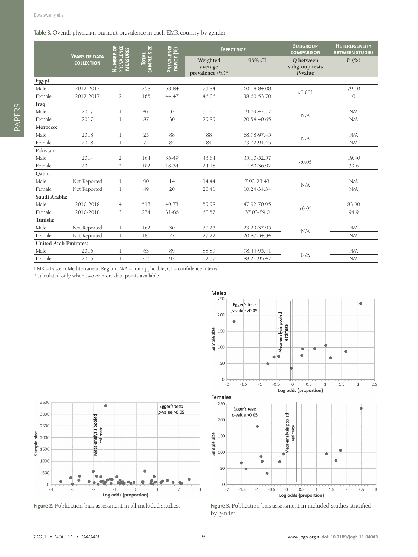#### <span id="page-7-0"></span>Table 3. Overall physician burnout prevalence in each EMR country by gender

|                              |                                           |                                                          |                             |                         | <b>EFFECT SIZE</b>                     |             | <b>SUBGROUP</b><br><b>COMPARISON</b>   | <b>HETEROGENEITY</b><br><b>BETWEEN STUDIES</b> |
|------------------------------|-------------------------------------------|----------------------------------------------------------|-----------------------------|-------------------------|----------------------------------------|-------------|----------------------------------------|------------------------------------------------|
|                              | <b>YEARS OF DATA</b><br><b>COLLECTION</b> | <b>NUMBER OF</b><br><b>PREVALENCE</b><br><b>MEASURES</b> | SAMPLE SIZE<br><b>TOTAL</b> | PREVALENCE<br>RANGE (%) | Weighted<br>average<br>prevalence (%)* | 95% CI      | O between<br>subgroup tests<br>P-value | $I^2$ (%)                                      |
| Egypt:                       |                                           |                                                          |                             |                         |                                        |             |                                        |                                                |
| Male                         | 2012-2017                                 | 3                                                        | 258                         | 58-84                   | 73.84                                  | 60.14-84.08 | < 0.001                                | 79.10                                          |
| Female                       | 2012-2017                                 | $\overline{2}$                                           | 165                         | 44-47                   | 46.06                                  | 38.60-53.70 |                                        | $\mathcal{O}$                                  |
| Iraq:                        |                                           |                                                          |                             |                         |                                        |             |                                        |                                                |
| Male                         | 2017                                      | 1                                                        | 47                          | 32                      | 31.91                                  | 19.09-47.12 | N/A                                    | N/A                                            |
| Female                       | 2017                                      | $\mathbf{1}$                                             | 87                          | 30                      | 29.89                                  | 20.54-40.65 |                                        | N/A                                            |
| Morocco:                     |                                           |                                                          |                             |                         |                                        |             |                                        |                                                |
| Male                         | 2018                                      | 1                                                        | 25                          | 88                      | 88                                     | 68.78-97.45 |                                        | N/A                                            |
| Female                       | 2018                                      | 1                                                        | 75                          | 84                      | 84                                     | 73.72-91.45 | N/A                                    | N/A                                            |
| Pakistan                     |                                           |                                                          |                             |                         |                                        |             |                                        |                                                |
| Male                         | 2014                                      | 2                                                        | 164                         | 36-49                   | 43.64                                  | 35.10-52.57 |                                        | 19.40                                          |
| Female                       | 2014                                      | $\overline{2}$                                           | 102                         | 18-34                   | 24.18                                  | 14.80-36.92 | < 0.05                                 | 39.6                                           |
| Qatar:                       |                                           |                                                          |                             |                         |                                        |             |                                        |                                                |
| Male                         | Not Reported                              | 1                                                        | 90                          | 14                      | 14.44                                  | 7.92-23.43  | N/A                                    | N/A                                            |
| Female                       | Not Reported                              | $\mathbf 1$                                              | 49                          | 20                      | 20.41                                  | 10.24-34.34 |                                        | N/A                                            |
| Saudi Arabia:                |                                           |                                                          |                             |                         |                                        |             |                                        |                                                |
| Male                         | 2010-2018                                 | $\overline{4}$                                           | 513                         | $40 - 73$               | 59.98                                  | 47.92-70.95 | >0.05                                  | 83.90                                          |
| Female                       | 2010-2018                                 | 3                                                        | 274                         | 31-86                   | 68.57                                  | 37.03-89.0  |                                        | 94.9                                           |
| Tunisia:                     |                                           |                                                          |                             |                         |                                        |             |                                        |                                                |
| Male                         | Not Reported                              | 1                                                        | 162                         | 30                      | 30.25                                  | 23.29-37.95 |                                        | N/A                                            |
| Female                       | Not Reported                              | $\mathbf{1}$                                             | 180                         | 27                      | 27.22                                  | 20.87-34.34 | N/A                                    | N/A                                            |
| <b>United Arab Emirates:</b> |                                           |                                                          |                             |                         |                                        |             |                                        |                                                |
| Male                         | 2016                                      | 1                                                        | 63                          | 89                      | 88.89                                  | 78.44-95.41 |                                        | N/A                                            |
| Female                       | 2016                                      | 1                                                        | 236                         | 92                      | 92.37                                  | 88.21-95.42 | N/A                                    | N/A                                            |

EMR – Eastern Mediterranean Region, N/A – not applicable, CI – confidence interval

\*Calculated only when two or more data points available.

<span id="page-7-1"></span>



<span id="page-7-2"></span>

Figure 2. Publication bias assessment in all included studies. **Figure 3.** Publication bias assessment in included studies stratified by gender.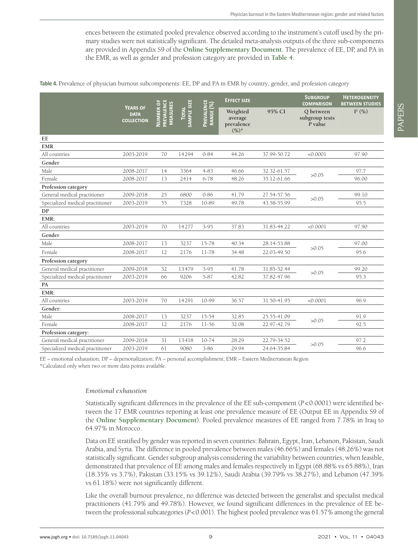ences between the estimated pooled prevalence observed according to the instrument's cutoff used by the primary studies were not statistically significant. The detailed meta-analysis outputs of the three sub-components are provided in Appendix S9 of the **[Online Supplementary Document](#page-12-23)**. The prevalence of EE, DP, and PA in the EMR, as well as gender and profession category are provided in **[Table 4](#page-8-0)**.

<span id="page-8-0"></span>**Table 4.** Prevalence of physician burnout subcomponents: EE, DP and PA in EMR by country, gender, and profession category

|                                  |                                                     | ō                                       |                      |                         | <b>EFFECT SIZE</b>                           |             | <b>SUBGROUP</b><br><b>COMPARISON</b>   | <b>HETEROGENEITY</b><br><b>BETWEEN STUDIES</b> |
|----------------------------------|-----------------------------------------------------|-----------------------------------------|----------------------|-------------------------|----------------------------------------------|-------------|----------------------------------------|------------------------------------------------|
|                                  | <b>YEARS OF</b><br><b>DATA</b><br><b>COLLECTION</b> | PREVALENCE<br><b>MEASURES</b><br>NUMBER | TOTAL<br>SAMPLE SIZE | PREVALENCE<br>RANGE (%) | Weighted<br>average<br>prevalence<br>$(%)^*$ | 95% CI      | O between<br>subgroup tests<br>P value | $I^2$ (%)                                      |
| EE                               |                                                     |                                         |                      |                         |                                              |             |                                        |                                                |
| <b>EMR</b>                       |                                                     |                                         |                      |                         |                                              |             |                                        |                                                |
| All countries                    | 2003-2019                                           | 70                                      | 14294                | $0 - 84$                | 44.26                                        | 37.99-50.72 | < 0.0001                               | 97.90                                          |
| Gender                           |                                                     |                                         |                      |                         |                                              |             |                                        |                                                |
| Male                             | 2008-2017                                           | 14                                      | 3364                 | $4 - 83$                | 46.66                                        | 32.32-61.57 | >0.05                                  | 97.7                                           |
| Female                           | 2008-2017                                           | 13                                      | 2414                 | $6 - 78$                | 48.26                                        | 35.12-61.66 |                                        | 96.00                                          |
| Profession category              |                                                     |                                         |                      |                         |                                              |             |                                        |                                                |
| General medical practitioner     | 2009-2018                                           | 25                                      | 6800                 | $0 - 86$                | 41.79                                        | 27.54-57.56 | >0.05                                  | 99.10                                          |
| Specialized medical practitioner | 2003-2019                                           | 55                                      | 7328                 | 10-89                   | 49.78                                        | 43.58-55.99 |                                        | 95.5                                           |
| DP                               |                                                     |                                         |                      |                         |                                              |             |                                        |                                                |
| EMR:                             |                                                     |                                         |                      |                         |                                              |             |                                        |                                                |
| All countries                    | 2003-2019                                           | 70                                      | 14277                | $3 - 95$                | 37.83                                        | 31.83-44.22 | < 0.0001                               | 97.90                                          |
| Gender                           |                                                     |                                         |                      |                         |                                              |             |                                        |                                                |
| Male                             | 2008-2017                                           | 13                                      | 3237                 | 15-78                   | 40.34                                        | 28.14-53.88 |                                        | 97.00                                          |
| Female                           | 2008-2017                                           | 12                                      | 2176                 | 11-78                   | 34.48                                        | 22.03-49.50 | >0.05                                  | 95.6                                           |
| Profession category              |                                                     |                                         |                      |                         |                                              |             |                                        |                                                |
| General medical practitioner     | 2009-2018                                           | 32                                      | 13479                | $3 - 95$                | 41.78                                        | 31.85-52.44 |                                        | 99.20                                          |
| Specialized medical practitioner | 2003-2019                                           | 66                                      | 9206                 | 5-87                    | 42.82                                        | 37.82-47.96 | >0.05                                  | 95.3                                           |
| PA                               |                                                     |                                         |                      |                         |                                              |             |                                        |                                                |
| EMR:                             |                                                     |                                         |                      |                         |                                              |             |                                        |                                                |
| All countries                    | 2003-2019                                           | 70                                      | 14291                | 10-99                   | 36.57                                        | 31.50-41.95 | < 0.0001                               | 96.9                                           |
| Gender:                          |                                                     |                                         |                      |                         |                                              |             |                                        |                                                |
| Male                             | 2008-2017                                           | 13                                      | 3237                 | 15-54                   | 32.85                                        | 25.55-41.09 |                                        | 91.9                                           |
| Female                           | 2008-2017                                           | 12                                      | 2176                 | 11-56                   | 32.08                                        | 22.97-42.79 | >0.05                                  | 92.5                                           |
| Profession category:             |                                                     |                                         |                      |                         |                                              |             |                                        |                                                |
| General medical practitioner     | 2009-2018                                           | 31                                      | 13418                | $10-74$                 | 28.29                                        | 22.79-34.52 |                                        | 97.2                                           |
| Specialized medical practitioner | 2003-2019                                           | 61                                      | 9080                 | $3 - 86$                | 29.94                                        | 24.64-35.84 | >0.05                                  | 96.6                                           |

EE – emotional exhaustion; DP – depersonalization; PA – personal accomplishment; EMR – Eastern Mediterranean Region \*Calculated only when two or more data points available.

*Emotional exhaustion*

Statistically significant differences in the prevalence of the EE sub-component (*P*<0.0001) were identified between the 17 EMR countries reporting at least one prevalence measure of EE (Output EE in Appendix S9 of the **[Online Supplementary Document](#page-12-23)**). Pooled prevalence measures of EE ranged from 7.78% in Iraq to 64.97% in Morocco.

Data on EE stratified by gender was reported in seven countries: Bahrain, Egypt, Iran, Lebanon, Pakistan, Saudi Arabia, and Syria. The difference in pooled prevalence between males (46.66%) and females (48.26%) was not statistically significant. Gender subgroup analysis considering the variability between countries, when feasible, demonstrated that prevalence of EE among males and females respectively in Egypt (68.88% vs 65.88%), Iran (18.35% vs 3.7%), Pakistan (33.15% vs 39.12%), Saudi Arabia (39.79% vs 38.27%), and Lebanon (47.39% vs 61.18%) were not significantly different.

Like the overall burnout prevalence, no difference was detected between the generalist and specialist medical practitioners (41.79% and 49.78%). However, we found significant differences in the prevalence of EE between the professional subcategories (*P*<0.001). The highest pooled prevalence was 61.57% among the general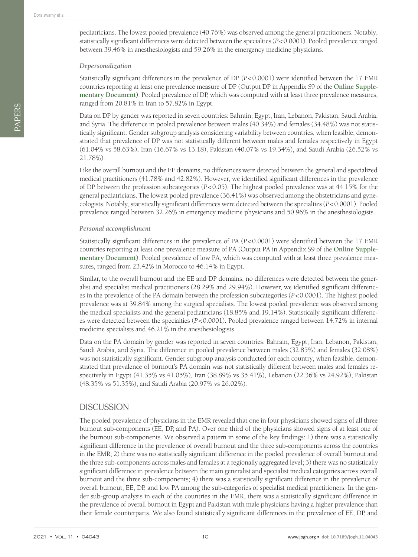pediatricians. The lowest pooled prevalence (40.76%) was observed among the general practitioners. Notably, statistically significant differences were detected between the specialties (*P*<0.0001). Pooled prevalence ranged between 39.46% in anesthesiologists and 59.26% in the emergency medicine physicians.

#### *Depersonalization*

Statistically significant differences in the prevalence of DP (*P*<0.0001) were identified between the 17 EMR countries reporting at least one prevalence measure of DP (Output DP in Appendix S9 of the **[Online Supple](#page-12-23)[mentary Document](#page-12-23)**). Pooled prevalence of DP, which was computed with at least three prevalence measures, ranged from 20.81% in Iran to 57.82% in Egypt.

Data on DP by gender was reported in seven countries: Bahrain, Egypt, Iran, Lebanon, Pakistan, Saudi Arabia, and Syria. The difference in pooled prevalence between males (40.34%) and females (34.48%) was not statistically significant. Gender subgroup analysis considering variability between countries, when feasible, demonstrated that prevalence of DP was not statistically different between males and females respectively in Egypt (61.04% vs 58.63%), Iran (16.67% vs 13.18), Pakistan (40.07% vs 19.34%), and Saudi Arabia (26.52% vs 21.78%).

Like the overall burnout and the EE domains, no differences were detected between the general and specialized medical practitioners (41.78% and 42.82%). However, we identified significant differences in the prevalence of DP between the profession subcategories (*P*<0.05). The highest pooled prevalence was at 44.15% for the general pediatricians. The lowest pooled prevalence (36.41%) was observed among the obstetricians and gynecologists. Notably, statistically significant differences were detected between the specialties (*P*<0.0001). Pooled prevalence ranged between 32.26% in emergency medicine physicians and 50.96% in the anesthesiologists.

#### *Personal accomplishment*

Statistically significant differences in the prevalence of PA (*P*<0.0001) were identified between the 17 EMR countries reporting at least one prevalence measure of PA (Output PA in Appendix S9 of the **[Online Supple](#page-12-23)[mentary Document](#page-12-23)**). Pooled prevalence of low PA, which was computed with at least three prevalence measures, ranged from 23.42% in Morocco to 46.14% in Egypt.

Similar, to the overall burnout and the EE and DP domains, no differences were detected between the generalist and specialist medical practitioners (28.29% and 29.94%). However, we identified significant differences in the prevalence of the PA domain between the profession subcategories (*P*<0.0001). The highest pooled prevalence was at 39.84% among the surgical specialists. The lowest pooled prevalence was observed among the medical specialists and the general pediatricians (18.85% and 19.14%). Statistically significant differences were detected between the specialties (*P*<0.0001). Pooled prevalence ranged between 14.72% in internal medicine specialists and 46.21% in the anesthesiologists.

Data on the PA domain by gender was reported in seven countries: Bahrain, Egypt, Iran, Lebanon, Pakistan, Saudi Arabia, and Syria. The difference in pooled prevalence between males (32.85%) and females (32.08%) was not statistically significant. Gender subgroup analysis conducted for each country, when feasible, demonstrated that prevalence of burnout's PA domain was not statistically different between males and females respectively in Egypt (41.35% vs 41.05%), Iran (38.89% vs 35.41%), Lebanon (22.36% vs 24.92%), Pakistan (48.35% vs 51.35%), and Saudi Arabia (20.97% vs 26.02%).

# **DISCUSSION**

The pooled prevalence of physicians in the EMR revealed that one in four physicians showed signs of all three burnout sub-components (EE, DP, and PA). Over one third of the physicians showed signs of at least one of the burnout sub-components. We observed a pattern in some of the key findings: 1) there was a statistically significant difference in the prevalence of overall burnout and the three sub-components across the countries in the EMR; 2) there was no statistically significant difference in the pooled prevalence of overall burnout and the three sub-components across males and females at a regionally aggregated level; 3) there was no statistically significant difference in prevalence between the main generalist and specialist medical categories across overall burnout and the three sub-components; 4) there was a statistically significant difference in the prevalence of overall burnout, EE, DP, and low PA among the sub-categories of specialist medical practitioners. In the gender sub-group analysis in each of the countries in the EMR, there was a statistically significant difference in the prevalence of overall burnout in Egypt and Pakistan with male physicians having a higher prevalence than their female counterparts. We also found statistically significant differences in the prevalence of EE, DP, and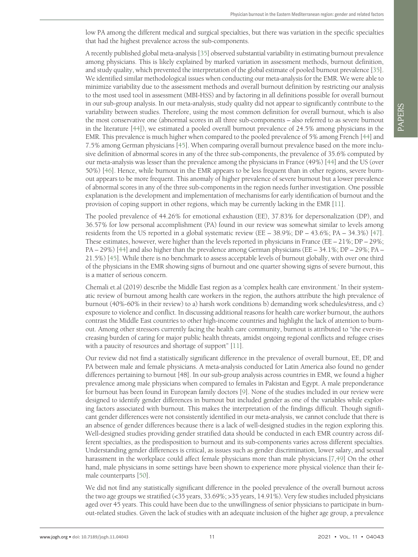low PA among the different medical and surgical specialties, but there was variation in the specific specialties that had the highest prevalence across the sub-components.

A recently published global meta-analysis [\[35](#page-13-3)] observed substantial variability in estimating burnout prevalence among physicians. This is likely explained by marked variation in assessment methods, burnout definition, and study quality, which prevented the interpretation of the global estimate of pooled burnout prevalence [\[35](#page-13-3)]. We identified similar methodological issues when conducting our meta-analysis for the EMR. We were able to minimize variability due to the assessment methods and overall burnout definition by restricting our analysis to the most used tool in assessment (MBI-HSS) and by factoring in all definitions possible for overall burnout in our sub-group analysis. In our meta-analysis, study quality did not appear to significantly contribute to the variability between studies. Therefore, using the most common definition for overall burnout, which is also the most conservative one (abnormal scores in all three sub-components – also referred to as severe burnout in the literature [\[44](#page-13-12)]), we estimated a pooled overall burnout prevalence of 24.5% among physicians in the EMR. This prevalence is much higher when compared to the pooled prevalence of 5% among French [[44\]](#page-13-12) and 7.5% among German physicians [\[45](#page-13-13)]. When comparing overall burnout prevalence based on the more inclusive definition of abnormal scores in any of the three sub-components, the prevalence of 35.6% computed by our meta-analysis was lesser than the prevalence among the physicians in France (49%) [\[44](#page-13-12)] and the US (over 50%) [\[46](#page-13-14)]. Hence, while burnout in the EMR appears to be less frequent than in other regions, severe burnout appears to be more frequent. This anomaly of higher prevalence of severe burnout but a lower prevalence of abnormal scores in any of the three sub-components in the region needs further investigation. One possible explanation is the development and implementation of mechanisms for early identification of burnout and the provision of coping support in other regions, which may be currently lacking in the EMR [\[11](#page-12-10)].

The pooled prevalence of 44.26% for emotional exhaustion (EE), 37.83% for depersonalization (DP), and 36.57% for low personal accomplishment (PA) found in our review was somewhat similar to levels among residents from the US reported in a global systematic review (EE – 38.9%; DP – 43.6%; PA – 34.3%) [\[47](#page-13-15)]. These estimates, however, were higher than the levels reported in physicians in France (EE –  $21\%$ ; DP –  $29\%$ ; PA – 29%) [\[44](#page-13-12)] and also higher than the prevalence among German physicians (EE – 34.1%; DP – 29%; PA – 21.5%) [\[45](#page-13-13)]. While there is no benchmark to assess acceptable levels of burnout globally, with over one third of the physicians in the EMR showing signs of burnout and one quarter showing signs of severe burnout, this is a matter of serious concern.

Chemali et.al (2019) describe the Middle East region as a 'complex health care environment.' In their systematic review of burnout among health care workers in the region, the authors attribute the high prevalence of burnout (40%-60% in their review) to a) harsh work conditions b) demanding work schedules/stress, and c) exposure to violence and conflict. In discussing additional reasons for health care worker burnout, the authors contrast the Middle East countries to other high-income countries and highlight the lack of attention to burnout. Among other stressors currently facing the health care community, burnout is attributed to "the ever-increasing burden of caring for major public health threats, amidst ongoing regional conflicts and refugee crises with a paucity of resources and shortage of support" [\[11\]](#page-12-10).

Our review did not find a statistically significant difference in the prevalence of overall burnout, EE, DP, and PA between male and female physicians. A meta-analysis conducted for Latin America also found no gender differences pertaining to burnout [48]. In our sub-group analysis across countries in EMR, we found a higher prevalence among male physicians when compared to females in Pakistan and Egypt. A male preponderance for burnout has been found in European family doctors [[9\]](#page-12-8). None of the studies included in our review were designed to identify gender differences in burnout but included gender as one of the variables while exploring factors associated with burnout. This makes the interpretation of the findings difficult. Though significant gender differences were not consistently identified in our meta-analysis, we cannot conclude that there is an absence of gender differences because there is a lack of well-designed studies in the region exploring this. Well-designed studies providing gender stratified data should be conducted in each EMR country across different specialties, as the predisposition to burnout and its sub-components varies across different specialties. Understanding gender differences is critical, as issues such as gender discrimination, lower salary, and sexual harassment in the workplace could affect female physicians more than male physicians.[[7](#page-12-6)[,49](#page-13-16)] On the other hand, male physicians in some settings have been shown to experience more physical violence than their female counterparts [\[50](#page-13-17)].

We did not find any statistically significant difference in the pooled prevalence of the overall burnout across the two age groups we stratified (<35 years, 33.69%; >35 years, 14.91%). Very few studies included physicians aged over 45 years. This could have been due to the unwillingness of senior physicians to participate in burnout-related studies. Given the lack of studies with an adequate inclusion of the higher age group, a prevalence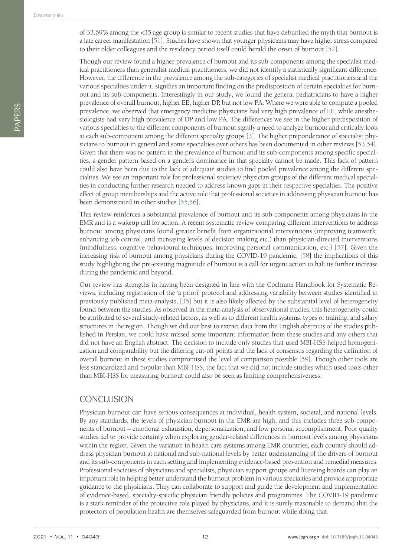of 33.69% among the <35 age group is similar to recent studies that have debunked the myth that burnout is a late career manifestation [\[51](#page-13-18)]. Studies have shown that younger physicians may have higher stress compared to their older colleagues and the residency period itself could herald the onset of burnout [[52\]](#page-14-0).

Though our review found a higher prevalence of burnout and its sub-components among the specialist medical practitioners than generalist medical practitioners, we did not identify a statistically significant difference. However, the difference in the prevalence among the sub-categories of specialist medical practitioners and the various specialties under it, signifies an important finding on the predisposition of certain specialties for burnout and its sub-components. Interestingly in our study, we found the general pediatricians to have a higher prevalence of overall burnout, higher EE, higher DP, but not low PA. Where we were able to compute a pooled prevalence, we observed that emergency medicine physicians had very high prevalence of EE, while anesthesiologists had very high prevalence of DP and low PA. The differences we see in the higher predisposition of various specialties to the different components of burnout signify a need to analyze burnout and critically look at each sub-component among the different specialty groups [\[3](#page-12-2)]. The higher preponderance of specialist physicians to burnout in general and some specialties over others has been documented in other reviews [[53](#page-14-1),[54\]](#page-14-2). Given that there was no pattern in the prevalence of burnout and its sub-components among specific specialties, a gender pattern based on a gender's dominance in that specialty cannot be made. This lack of pattern could also have been due to the lack of adequate studies to find pooled prevalence among the different specialties. We see an important role for professional societies/ physician groups of the different medical specialties in conducting further research needed to address known gaps in their respective specialties. The positive effect of group memberships and the active role that professional societies in addressing physician burnout has been demonstrated in other studies [\[55](#page-14-3),[56](#page-14-4)].

This review reinforces a substantial prevalence of burnout and its sub-components among physicians in the EMR and is a wakeup call for action. A recent systematic review comparing different interventions to address burnout among physicians found greater benefit from organizational interventions (improving teamwork, enhancing job control, and increasing levels of decision making etc.) than physician-directed interventions (mindfulness, cognitive behavioural techniques, improving personal communication, etc.) [\[57\]](#page-14-5). Given the increasing risk of burnout among physicians during the COVID-19 pandemic, [[58](#page-14-6)] the implications of this study highlighting the pre-existing magnitude of burnout is a call for urgent action to halt its further increase during the pandemic and beyond.

Our review has strengths in having been designed in line with the Cochrane Handbook for Systematic Reviews, including registration of the 'a priori' protocol and addressing variability between studies identified in previously published meta-analysis, [\[35\]](#page-13-3) but it is also likely affected by the substantial level of heterogeneity found between the studies. As observed in the meta-analysis of observational studies, this heterogeneity could be attributed to several study-related factors, as well as to different health systems, types of training, and salary structures in the region. Though we did our best to extract data from the English abstracts of the studies published in Persian, we could have missed some important information from these studies and any others that did not have an English abstract. The decision to include only studies that used MBI-HSS helped homogenization and comparability but the differing cut-off points and the lack of consensus regarding the definition of overall burnout in these studies compromised the level of comparison possible [[59\]](#page-14-7). Though other tools are less standardized and popular than MBI-HSS, the fact that we did not include studies which used tools other than MBI-HSS for measuring burnout could also be seen as limiting comprehensiveness.

# **CONCLUSION**

Physician burnout can have serious consequences at individual, health system, societal, and national levels. By any standards, the levels of physician burnout in the EMR are high, and this includes three sub-components of burnout – emotional exhaustion, depersonalization, and low personal accomplishment. Poor quality studies fail to provide certainty when exploring gender-related differences in burnout levels among physicians within the region. Given the variation in health care systems among EMR countries, each country should address physician burnout at national and sub-national levels by better understanding of the drivers of burnout and its sub-components in each setting and implementing evidence-based prevention and remedial measures. Professional societies of physicians and specialists, physician support groups and licensing boards can play an important role in helping better understand the burnout problem in various specialties and provide appropriate guidance to the physicians. They can collaborate to support and guide the development and implementation of evidence-based, specialty-specific physician friendly policies and programmes. The COVID-19 pandemic is a stark reminder of the protective role played by physicians, and it is surely reasonable to demand that the protectors of population health are themselves safeguarded from burnout while doing that.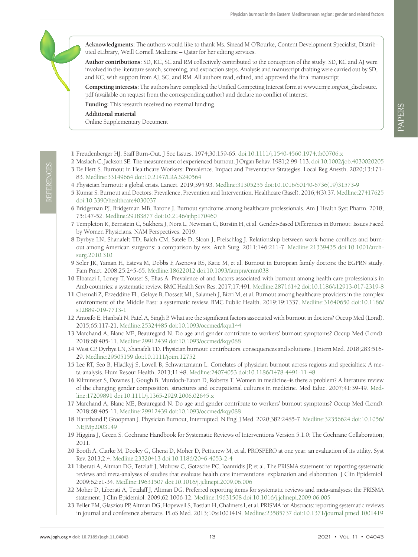**Acknowledgments:** The authors would like to thank Ms. Sinead M O'Rourke, Content Development Specialist, Distributed eLibrary, Weill Cornell Medicine – Qatar for her editing services.

**Author contributions:** SD, KC, SC and RM collectively contributed to the conception of the study. SD, KC and AJ were involved in the literature search, screening, and extraction steps. Analysis and manuscript drafting were carried out by SD, and KC, with support from AJ, SC, and RM. All authors read, edited, and approved the final manuscript.

**Competing interests:** The authors have completed the Unified Competing Interest form at www.icmje.org/coi\_disclosure. pdf (available on request from the corresponding author) and declare no conflict of interest.

**Funding:** This research received no external funding.

#### **Additional material**

REFERENCES

**REFERENCES** 

<span id="page-12-23"></span>[Online Supplementary Document](http://jogh.org/documents/2021/jogh-11-04043-s001.pdf)

- <span id="page-12-0"></span>1 Freudenberger HJ. Staff Burn-Out. J Soc Issues. 1974;30:159-65. [doi:10.1111/j.1540-4560.1974.tb00706.x](https://doi.org/10.1111/j.1540-4560.1974.tb00706.x)
- <span id="page-12-1"></span>2 Maslach C, Jackson SE. The measurement of experienced burnout. J Organ Behav. 1981;2:99-113. [doi:10.1002/job.4030020205](https://doi.org/10.1002/job.4030020205)
- <span id="page-12-2"></span>3 De Hert S. Burnout in Healthcare Workers: Prevalence, Impact and Preventative Strategies. Local Reg Anesth. 2020;13:171- 83. [Medline:33149664](https://www.ncbi.nlm.nih.gov/entrez/query.fcgi?cmd=Retrieve&db=PubMed&list_uids=33149664&dopt=Abstract) [doi:10.2147/LRA.S240564](https://doi.org/10.2147/LRA.S240564)
- <span id="page-12-3"></span>4 Physician burnout: a global crisis. Lancet. 2019;394:93. [Medline:31305255](https://www.ncbi.nlm.nih.gov/entrez/query.fcgi?cmd=Retrieve&db=PubMed&list_uids=31305255&dopt=Abstract) [doi:10.1016/S0140-6736\(19\)31573-9](https://doi.org/10.1016/S0140-6736(19)31573-9)
- <span id="page-12-4"></span>5 Kumar S. Burnout and Doctors: Prevalence, Prevention and Intervention. Healthcare (Basel). 2016;4(3):37. [Medline:27417625](https://www.ncbi.nlm.nih.gov/entrez/query.fcgi?cmd=Retrieve&db=PubMed&list_uids=27417625&dopt=Abstract) [doi:10.3390/healthcare4030037](https://doi.org/10.3390/healthcare4030037)
- <span id="page-12-5"></span>6 Bridgeman PJ, Bridgeman MB, Barone J. Burnout syndrome among healthcare professionals. Am J Health Syst Pharm. 2018; 75:147-52. [Medline:29183877](https://www.ncbi.nlm.nih.gov/entrez/query.fcgi?cmd=Retrieve&db=PubMed&list_uids=29183877&dopt=Abstract) [doi:10.2146/ajhp170460](https://doi.org/10.2146/ajhp170460)
- <span id="page-12-6"></span>7 Templeton K, Bernstein C, Sukhera J, Nora L, Newman C, Burstin H, et al. Gender-Based Differences in Burnout: Issues Faced by Women Physicians. NAM Perspectives. 2019.
- <span id="page-12-7"></span>8 Dyrbye LN, Shanafelt TD, Balch CM, Satele D, Sloan J, Freischlag J. Relationship between work-home conflicts and burnout among American surgeons: a comparison by sex. Arch Surg. 2011;146:211-7. [Medline:21339435](https://www.ncbi.nlm.nih.gov/entrez/query.fcgi?cmd=Retrieve&db=PubMed&list_uids=21339435&dopt=Abstract) [doi:10.1001/arch](https://doi.org/10.1001/archsurg.2010.310)[surg.2010.310](https://doi.org/10.1001/archsurg.2010.310)
- <span id="page-12-8"></span>9 Soler JK, Yaman H, Esteva M, Dobbs F, Asenova RS, Katic M, et al. Burnout in European family doctors: the EGPRN study. Fam Pract. 2008;25:245-65. [Medline:18622012](https://www.ncbi.nlm.nih.gov/entrez/query.fcgi?cmd=Retrieve&db=PubMed&list_uids=18622012&dopt=Abstract) [doi:10.1093/fampra/cmn038](https://doi.org/10.1093/fampra/cmn038)
- <span id="page-12-9"></span>10 Elbarazi I, Loney T, Yousef S, Elias A. Prevalence of and factors associated with burnout among health care professionals in Arab countries: a systematic review. BMC Health Serv Res. 2017;17:491. [Medline:28716142](https://www.ncbi.nlm.nih.gov/entrez/query.fcgi?cmd=Retrieve&db=PubMed&list_uids=28716142&dopt=Abstract) [doi:10.1186/s12913-017-2319-8](https://doi.org/10.1186/s12913-017-2319-8)
- <span id="page-12-10"></span>11 Chemali Z, Ezzeddine FL, Gelaye B, Dossett ML, Salameh J, Bizri M, et al. Burnout among healthcare providers in the complex environment of the Middle East: a systematic review. BMC Public Health. 2019;19:1337. [Medline:31640650](https://www.ncbi.nlm.nih.gov/entrez/query.fcgi?cmd=Retrieve&db=PubMed&list_uids=31640650&dopt=Abstract) [doi:10.1186/](https://doi.org/10.1186/s12889-019-7713-1) [s12889-019-7713-1](https://doi.org/10.1186/s12889-019-7713-1)
- <span id="page-12-11"></span>12 Amoafo E, Hanbali N, Patel A, Singh P. What are the significant factors associated with burnout in doctors? Occup Med (Lond). 2015;65:117-21. [Medline:25324485](https://www.ncbi.nlm.nih.gov/entrez/query.fcgi?cmd=Retrieve&db=PubMed&list_uids=25324485&dopt=Abstract) [doi:10.1093/occmed/kqu144](https://doi.org/10.1093/occmed/kqu144)
- <span id="page-12-12"></span>13 Marchand A, Blanc ME, Beauregard N. Do age and gender contribute to workers' burnout symptoms? Occup Med (Lond). 2018;68:405-11. [Medline:29912439](https://www.ncbi.nlm.nih.gov/entrez/query.fcgi?cmd=Retrieve&db=PubMed&list_uids=29912439&dopt=Abstract) [doi:10.1093/occmed/kqy088](https://doi.org/10.1093/occmed/kqy088)
- <span id="page-12-13"></span>14 West CP, Dyrbye LN, Shanafelt TD. Physician burnout: contributors, consequences and solutions. J Intern Med. 2018;283:516- 29. [Medline:29505159](https://www.ncbi.nlm.nih.gov/entrez/query.fcgi?cmd=Retrieve&db=PubMed&list_uids=29505159&dopt=Abstract) [doi:10.1111/joim.12752](https://doi.org/10.1111/joim.12752)
- <span id="page-12-14"></span>15 Lee RT, Seo B, Hladkyj S, Lovell B, Schwartzmann L. Correlates of physician burnout across regions and specialties: A meta-analysis. Hum Resour Health. 2013;11:48. [Medline:24074053](https://www.ncbi.nlm.nih.gov/entrez/query.fcgi?cmd=Retrieve&db=PubMed&list_uids=24074053&dopt=Abstract) [doi:10.1186/1478-4491-11-48](https://doi.org/10.1186/1478-4491-11-48)
- <span id="page-12-15"></span>16 Kilminster S, Downes J, Gough B, Murdoch-Eaton D, Roberts T. Women in medicine–is there a problem? A literature review of the changing gender composition, structures and occupational cultures in medicine. Med Educ. 2007;41:39-49. [Med](https://www.ncbi.nlm.nih.gov/entrez/query.fcgi?cmd=Retrieve&db=PubMed&list_uids=17209891&dopt=Abstract)[line:17209891](https://www.ncbi.nlm.nih.gov/entrez/query.fcgi?cmd=Retrieve&db=PubMed&list_uids=17209891&dopt=Abstract) [doi:10.1111/j.1365-2929.2006.02645.x](https://doi.org/10.1111/j.1365-2929.2006.02645.x)
- <span id="page-12-16"></span>17 Marchand A, Blanc ME, Beauregard N. Do age and gender contribute to workers' burnout symptoms? Occup Med (Lond). 2018;68:405-11. [Medline:29912439](https://www.ncbi.nlm.nih.gov/entrez/query.fcgi?cmd=Retrieve&db=PubMed&list_uids=29912439&dopt=Abstract) [doi:10.1093/occmed/kqy088](https://doi.org/10.1093/occmed/kqy088)
- <span id="page-12-17"></span>18 Hartzband P, Groopman J. Physician Burnout, Interrupted. N Engl J Med. 2020;382:2485-7. [Medline:32356624](https://www.ncbi.nlm.nih.gov/entrez/query.fcgi?cmd=Retrieve&db=PubMed&list_uids=32356624&dopt=Abstract) [doi:10.1056/](https://doi.org/10.1056/NEJMp2003149) [NEJMp2003149](https://doi.org/10.1056/NEJMp2003149)
- <span id="page-12-18"></span>19 Higgins J, Green S. Cochrane Handbook for Systematic Reviews of Interventions Version 5.1.0: The Cochrane Collaboration; 2011.
- <span id="page-12-19"></span>20 Booth A, Clarke M, Dooley G, Ghersi D, Moher D, Petticrew M, et al. PROSPERO at one year: an evaluation of its utility. Syst Rev. 2013;2:4. [Medline:23320413](https://www.ncbi.nlm.nih.gov/entrez/query.fcgi?cmd=Retrieve&db=PubMed&list_uids=23320413&dopt=Abstract) [doi:10.1186/2046-4053-2-4](https://doi.org/10.1186/2046-4053-2-4)
- <span id="page-12-20"></span>21 Liberati A, Altman DG, Tetzlaff J, Mulrow C, Gotzsche PC, Ioannidis JP, et al. The PRISMA statement for reporting systematic reviews and meta-analyses of studies that evaluate health care interventions: explanation and elaboration. J Clin Epidemiol. 2009;62:e1-34. [Medline:19631507](https://www.ncbi.nlm.nih.gov/entrez/query.fcgi?cmd=Retrieve&db=PubMed&list_uids=19631507&dopt=Abstract) [doi:10.1016/j.jclinepi.2009.06.006](https://doi.org/10.1016/j.jclinepi.2009.06.006)
- <span id="page-12-21"></span>22 Moher D, Liberati A, Tetzlaff J, Altman DG. Preferred reporting items for systematic reviews and meta-analyses: the PRISMA statement. J Clin Epidemiol. 2009;62:1006-12. [Medline:19631508](https://www.ncbi.nlm.nih.gov/entrez/query.fcgi?cmd=Retrieve&db=PubMed&list_uids=19631508&dopt=Abstract) [doi:10.1016/j.jclinepi.2009.06.005](https://doi.org/10.1016/j.jclinepi.2009.06.005)
- <span id="page-12-22"></span>23 Beller EM, Glasziou PP, Altman DG, Hopewell S, Bastian H, Chalmers I, et al. PRISMA for Abstracts: reporting systematic reviews in journal and conference abstracts. PLoS Med. 2013;10:e1001419. [Medline:23585737](https://www.ncbi.nlm.nih.gov/entrez/query.fcgi?cmd=Retrieve&db=PubMed&list_uids=23585737&dopt=Abstract) [doi:10.1371/journal.pmed.1001419](https://doi.org/10.1371/journal.pmed.1001419)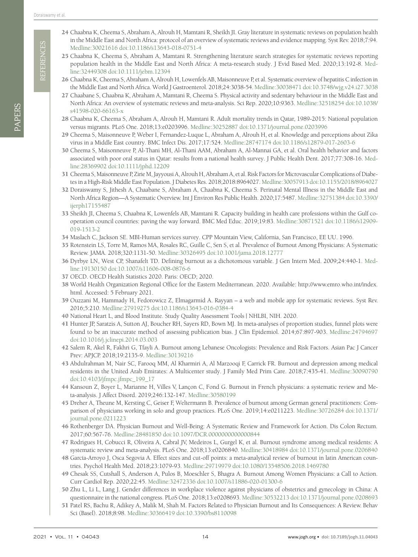**REFERENCES** REFERENCES

- <span id="page-13-0"></span>24 Chaabna K, Cheema S, Abraham A, Alrouh H, Mamtani R, Sheikh JI. Gray literature in systematic reviews on population health in the Middle East and North Africa: protocol of an overview of systematic reviews and evidence mapping. Syst Rev. 2018;7:94. [Medline:30021616](https://www.ncbi.nlm.nih.gov/entrez/query.fcgi?cmd=Retrieve&db=PubMed&list_uids=30021616&dopt=Abstract) [doi:10.1186/s13643-018-0751-4](https://doi.org/10.1186/s13643-018-0751-4)
- 25 Chaabna K, Cheema S, Abraham A, Mamtani R. Strengthening literature search strategies for systematic reviews reporting population health in the Middle East and North Africa: A meta-research study. J Evid Based Med. 2020;13:192-8. [Med](https://www.ncbi.nlm.nih.gov/entrez/query.fcgi?cmd=Retrieve&db=PubMed&list_uids=32449308&dopt=Abstract)[line:32449308](https://www.ncbi.nlm.nih.gov/entrez/query.fcgi?cmd=Retrieve&db=PubMed&list_uids=32449308&dopt=Abstract) [doi:10.1111/jebm.12394](https://doi.org/10.1111/jebm.12394)
- 26 Chaabna K, Cheema S, Abraham A, Alrouh H, Lowenfels AB, Maisonneuve P, et al. Systematic overview of hepatitis C infection in the Middle East and North Africa. World J Gastroenterol. 2018;24:3038-54. [Medline:30038471](https://www.ncbi.nlm.nih.gov/entrez/query.fcgi?cmd=Retrieve&db=PubMed&list_uids=30038471&dopt=Abstract) [doi:10.3748/wjg.v24.i27.3038](https://doi.org/10.3748/wjg.v24.i27.3038)
- 27 Chaabane S, Chaabna K, Abraham A, Mamtani R, Cheema S. Physical activity and sedentary behaviour in the Middle East and North Africa: An overview of systematic reviews and meta-analysis. Sci Rep. 2020;10:9363. [Medline:32518254](https://www.ncbi.nlm.nih.gov/entrez/query.fcgi?cmd=Retrieve&db=PubMed&list_uids=32518254&dopt=Abstract) [doi:10.1038/](https://doi.org/10.1038/s41598-020-66163-x) [s41598-020-66163-x](https://doi.org/10.1038/s41598-020-66163-x)
- 28 Chaabna K, Cheema S, Abraham A, Alrouh H, Mamtani R. Adult mortality trends in Qatar, 1989-2015: National population versus migrants. PLoS One. 2018;13:e0203996. [Medline:30252887](https://www.ncbi.nlm.nih.gov/entrez/query.fcgi?cmd=Retrieve&db=PubMed&list_uids=30252887&dopt=Abstract) [doi:10.1371/journal.pone.0203996](https://doi.org/10.1371/journal.pone.0203996)
- 29 Cheema S, Maisonneuve P, Weber I, Fernandez-Luque L, Abraham A, Alrouh H, et al. Knowledge and perceptions about Zika virus in a Middle East country. BMC Infect Dis. 2017;17:524. [Medline:28747174](https://www.ncbi.nlm.nih.gov/entrez/query.fcgi?cmd=Retrieve&db=PubMed&list_uids=28747174&dopt=Abstract) [doi:10.1186/s12879-017-2603-6](https://doi.org/10.1186/s12879-017-2603-6)
- 30 Cheema S, Maisonneuve P, Al-Thani MH, Al-Thani AAM, Abraham A, Al-Mannai GA, et al. Oral health behavior and factors associated with poor oral status in Qatar: results from a national health survey. J Public Health Dent. 2017;77:308-16. [Med](https://www.ncbi.nlm.nih.gov/entrez/query.fcgi?cmd=Retrieve&db=PubMed&list_uids=28369902&dopt=Abstract)[line:28369902](https://www.ncbi.nlm.nih.gov/entrez/query.fcgi?cmd=Retrieve&db=PubMed&list_uids=28369902&dopt=Abstract) [doi:10.1111/jphd.12209](https://doi.org/10.1111/jphd.12209)
- 31 Cheema S, Maisonneuve P, Zirie M, Jayyousi A, Alrouh H, Abraham A, et al. Risk Factors for Microvascular Complications of Diabetes in a High-Risk Middle East Population. J Diabetes Res. 2018;2018:8964027. [Medline:30057913](https://www.ncbi.nlm.nih.gov/entrez/query.fcgi?cmd=Retrieve&db=PubMed&list_uids=30057913&dopt=Abstract) [doi:10.1155/2018/8964027](https://doi.org/10.1155/2018/8964027)
- 32 Doraiswamy S, Jithesh A, Chaabane S, Abraham A, Chaabna K, Cheema S. Perinatal Mental Illness in the Middle East and North Africa Region—A Systematic Overview. Int J Environ Res Public Health. 2020;17:5487. [Medline:32751384](https://www.ncbi.nlm.nih.gov/entrez/query.fcgi?cmd=Retrieve&db=PubMed&list_uids=32751384&dopt=Abstract) [doi:10.3390/](https://doi.org/10.3390/ijerph17155487) [ijerph17155487](https://doi.org/10.3390/ijerph17155487)
- <span id="page-13-1"></span>33 Sheikh JI, Cheema S, Chaabna K, Lowenfels AB, Mamtani R. Capacity building in health care professions within the Gulf cooperation council countries: paving the way forward. BMC Med Educ. 2019;19:83. [Medline:30871521](https://www.ncbi.nlm.nih.gov/entrez/query.fcgi?cmd=Retrieve&db=PubMed&list_uids=30871521&dopt=Abstract) [doi:10.1186/s12909-](https://doi.org/10.1186/s12909-019-1513-2) [019-1513-2](https://doi.org/10.1186/s12909-019-1513-2)
- <span id="page-13-2"></span>34 Maslach C, Jackson SE. MBI-Human services survey. CPP Mountain View, California, San Francisco, EE UU. 1996.
- <span id="page-13-3"></span>35 Rotenstein LS, Torre M, Ramos MA, Rosales RC, Guille C, Sen S, et al. Prevalence of Burnout Among Physicians: A Systematic Review. JAMA. 2018;320:1131-50. [Medline:30326495](https://www.ncbi.nlm.nih.gov/entrez/query.fcgi?cmd=Retrieve&db=PubMed&list_uids=30326495&dopt=Abstract) [doi:10.1001/jama.2018.12777](https://doi.org/10.1001/jama.2018.12777)
- <span id="page-13-4"></span>36 Dyrbye LN, West CP, Shanafelt TD. Defining burnout as a dichotomous variable. J Gen Intern Med. 2009;24:440-1. [Med](https://www.ncbi.nlm.nih.gov/entrez/query.fcgi?cmd=Retrieve&db=PubMed&list_uids=19130150&dopt=Abstract)[line:19130150](https://www.ncbi.nlm.nih.gov/entrez/query.fcgi?cmd=Retrieve&db=PubMed&list_uids=19130150&dopt=Abstract) [doi:10.1007/s11606-008-0876-6](https://doi.org/10.1007/s11606-008-0876-6)
- <span id="page-13-5"></span>37 OECD. OECD Health Statistics 2020. Paris: OECD; 2020.
- <span id="page-13-6"></span>38 World Health Organization Regional Office for the Eastern Mediterranean. 2020. Available: [http://www.emro.who.int/index.](http://www.emro.who.int/index.html) [html.](http://www.emro.who.int/index.html) Accessed: 5 February 2021.
- <span id="page-13-7"></span>39 Ouzzani M, Hammady H, Fedorowicz Z, Elmagarmid A. Rayyan – a web and mobile app for systematic reviews. Syst Rev. 2016;5:210. [Medline:27919275](https://www.ncbi.nlm.nih.gov/entrez/query.fcgi?cmd=Retrieve&db=PubMed&list_uids=27919275&dopt=Abstract) [doi:10.1186/s13643-016-0384-4](https://doi.org/10.1186/s13643-016-0384-4)
- <span id="page-13-8"></span>40 National Heart L, and Blood Institute. Study Quality Assessment Tools | NHLBI, NIH. 2020.
- <span id="page-13-9"></span>41 Hunter JP, Saratzis A, Sutton AJ, Boucher RH, Sayers RD, Bown MJ. In meta-analyses of proportion studies, funnel plots were found to be an inaccurate method of assessing publication bias. J Clin Epidemiol. 2014;67:897-903. [Medline:24794697](https://www.ncbi.nlm.nih.gov/entrez/query.fcgi?cmd=Retrieve&db=PubMed&list_uids=24794697&dopt=Abstract) [doi:10.1016/j.jclinepi.2014.03.003](https://doi.org/10.1016/j.jclinepi.2014.03.003)
- <span id="page-13-10"></span>42 Salem R, Akel R, Fakhri G, Tfayli A. Burnout among Lebanese Oncologists: Prevalence and Risk Factors. Asian Pac J Cancer Prev: APJCP. 2018;19:2135-9. [Medline:30139216](https://www.ncbi.nlm.nih.gov/entrez/query.fcgi?cmd=Retrieve&db=PubMed&list_uids=30139216&dopt=Abstract)
- <span id="page-13-11"></span>43 Abdulrahman M, Nair SC, Farooq MM, Al Kharmiri A, Al Marzooqi F, Carrick FR. Burnout and depression among medical residents in the United Arab Emirates: A Multicenter study. J Family Med Prim Care. 2018;7:435-41. [Medline:30090790](https://www.ncbi.nlm.nih.gov/entrez/query.fcgi?cmd=Retrieve&db=PubMed&list_uids=30090790&dopt=Abstract) [doi:10.4103/jfmpc.jfmpc\\_199\\_17](https://doi.org/10.4103/jfmpc.jfmpc_199_17)
- <span id="page-13-12"></span>44 Kansoun Z, Boyer L, Marianne H, Villes V, Lançon C, Fond G. Burnout in French physicians: a systematic review and Meta-analysis. J Affect Disord. 2019;246:132-147. [Medline:30580199](https://www.ncbi.nlm.nih.gov/entrez/query.fcgi?cmd=Retrieve&db=PubMed&list_uids=30580199&dopt=Abstract)
- <span id="page-13-13"></span>45 Dreher A, Theune M, Kersting C, Geiser F, Weltermann B. Prevalence of burnout among German general practitioners: Comparison of physicians working in solo and group practices. PLoS One. 2019;14:e0211223. [Medline:30726284](https://www.ncbi.nlm.nih.gov/entrez/query.fcgi?cmd=Retrieve&db=PubMed&list_uids=30726284&dopt=Abstract) [doi:10.1371/](https://doi.org/10.1371/journal.pone.0211223) [journal.pone.0211223](https://doi.org/10.1371/journal.pone.0211223)
- <span id="page-13-14"></span>46 Rothenberger DA. Physician Burnout and Well-Being: A Systematic Review and Framework for Action. Dis Colon Rectum. 2017;60:567-76. [Medline:28481850](https://www.ncbi.nlm.nih.gov/entrez/query.fcgi?cmd=Retrieve&db=PubMed&list_uids=28481850&dopt=Abstract) [doi:10.1097/DCR.0000000000000844](https://doi.org/10.1097/DCR.0000000000000844)
- <span id="page-13-15"></span>47 Rodrigues H, Cobucci R, Oliveira A, Cabral JV, Medeiros L, Gurgel K, et al. Burnout syndrome among medical residents: A systematic review and meta-analysis. PLoS One. 2018;13:e0206840. [Medline:30418984](https://www.ncbi.nlm.nih.gov/entrez/query.fcgi?cmd=Retrieve&db=PubMed&list_uids=30418984&dopt=Abstract) [doi:10.1371/journal.pone.0206840](https://doi.org/10.1371/journal.pone.0206840)
- 48 García-Arroyo J, Osca Segovia A. Effect sizes and cut-off points: a meta-analytical review of burnout in latin American countries. Psychol Health Med. 2018;23:1079-93. [Medline:29719979](https://www.ncbi.nlm.nih.gov/entrez/query.fcgi?cmd=Retrieve&db=PubMed&list_uids=29719979&dopt=Abstract) [doi:10.1080/13548506.2018.1469780](https://doi.org/10.1080/13548506.2018.1469780)
- <span id="page-13-16"></span>49 Chesak SS, Cutshall S, Anderson A, Pulos B, Moeschler S, Bhagra A. Burnout Among Women Physicians: a Call to Action. Curr Cardiol Rep. 2020;22:45. [Medline:32472336](https://www.ncbi.nlm.nih.gov/entrez/query.fcgi?cmd=Retrieve&db=PubMed&list_uids=32472336&dopt=Abstract) [doi:10.1007/s11886-020-01300-6](https://doi.org/10.1007/s11886-020-01300-6)
- <span id="page-13-17"></span>50 Zhu L, Li L, Lang J. Gender differences in workplace violence against physicians of obstetrics and gynecology in China: A questionnaire in the national congress. PLoS One. 2018;13:e0208693. [Medline:30532213](https://www.ncbi.nlm.nih.gov/entrez/query.fcgi?cmd=Retrieve&db=PubMed&list_uids=30532213&dopt=Abstract) [doi:10.1371/journal.pone.0208693](https://doi.org/10.1371/journal.pone.0208693)
- <span id="page-13-18"></span>51 Patel RS, Bachu R, Adikey A, Malik M, Shah M. Factors Related to Physician Burnout and Its Consequences: A Review. Behav Sci (Basel). 2018;8:98. [Medline:30366419](https://www.ncbi.nlm.nih.gov/entrez/query.fcgi?cmd=Retrieve&db=PubMed&list_uids=30366419&dopt=Abstract) [doi:10.3390/bs8110098](https://doi.org/10.3390/bs8110098)